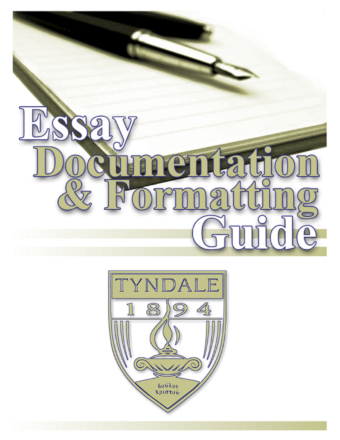

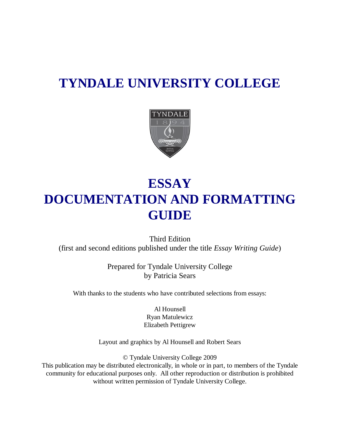# **TYNDALE UNIVERSITY COLLEGE**



# **ESSAY DOCUMENTATION AND FORMATTING GUIDE**

Third Edition (first and second editions published under the title *Essay Writing Guide*)

> Prepared for Tyndale University College by Patricia Sears

With thanks to the students who have contributed selections from essays:

Al Hounsell Ryan Matulewicz Elizabeth Pettigrew

Layout and graphics by Al Hounsell and Robert Sears

© Tyndale University College 2009

This publication may be distributed electronically, in whole or in part, to members of the Tyndale community for educational purposes only. All other reproduction or distribution is prohibited without written permission of Tyndale University College.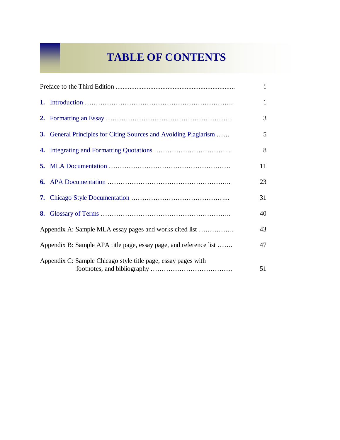## **TABLE OF CONTENTS**

|                                                                   |                                                                  | $\mathbf{1}$ |
|-------------------------------------------------------------------|------------------------------------------------------------------|--------------|
|                                                                   |                                                                  | 3            |
|                                                                   | 3. General Principles for Citing Sources and Avoiding Plagiarism | 5            |
|                                                                   |                                                                  | 8            |
|                                                                   |                                                                  | 11           |
|                                                                   |                                                                  | 23           |
|                                                                   |                                                                  | 31           |
|                                                                   |                                                                  | 40           |
| Appendix A: Sample MLA essay pages and works cited list           |                                                                  | 43           |
| Appendix B: Sample APA title page, essay page, and reference list |                                                                  | 47           |
| Appendix C: Sample Chicago style title page, essay pages with     |                                                                  | 51           |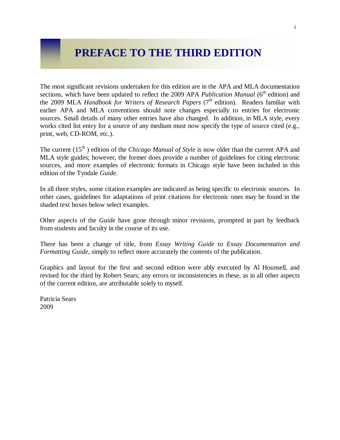## **PREFACE TO THE THIRD EDITION**

The most significant revisions undertaken for this edition are in the APA and MLA documentation sections, which have been updated to reflect the 2009 APA *Publication Manual* (6<sup>th</sup> edition) and the 2009 MLA *Handbook for Writers of Research Papers* (7<sup>th</sup> edition). Readers familiar with earlier APA and MLA conventions should note changes especially to entries for electronic sources. Small details of many other entries have also changed. In addition, in MLA style, every works cited list entry for a source of any medium must now specify the type of source cited (e.g., print, web, CD-ROM, etc.).

The current (15<sup>th</sup>) edition of the *Chicago Manual of Style* is now older than the current APA and MLA style guides; however, the former does provide a number of guidelines for citing electronic sources, and more examples of electronic formats in Chicago style have been included in this edition of the Tyndale *Guide*.

In all three styles, some citation examples are indicated as being specific to electronic sources. In other cases, guidelines for adaptations of print citations for electronic ones may be found in the shaded text boxes below select examples.

Other aspects of the *Guide* have gone through minor revisions, prompted in part by feedback from students and faculty in the course of its use.

There has been a change of title, from *Essay Writing Guide* to *Essay Documentation and Formatting Guide*, simply to reflect more accurately the contents of the publication.

Graphics and layout for the first and second edition were ably executed by Al Hounsell, and revised for the third by Robert Sears; any errors or inconsistencies in these, as in all other aspects of the current edition, are attributable solely to myself.

Patricia Sears 2009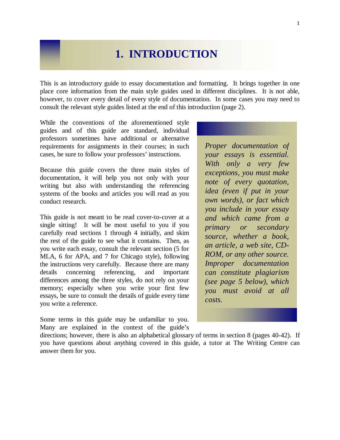## **1. INTRODUCTION**

This is an introductory guide to essay documentation and formatting. It brings together in one place core information from the main style guides used in different disciplines. It is not able, however, to cover every detail of every style of documentation. In some cases you may need to consult the relevant style guides listed at the end of this introduction (page 2).

While the conventions of the aforementioned style guides and of this guide are standard, individual professors sometimes have additional or alternative requirements for assignments in their courses; in such cases, be sure to follow your professors' instructions.

Because this guide covers the three main styles of documentation, it will help you not only with your writing but also with understanding the referencing systems of the books and articles you will read as you conduct research.

This guide is not meant to be read cover-to-cover at a single sitting! It will be most useful to you if you carefully read sections 1 through 4 initially, and skim the rest of the guide to see what it contains. Then, as you write each essay, consult the relevant section (5 for MLA, 6 for APA, and 7 for Chicago style), following the instructions very carefully. Because there are many details concerning referencing, and important differences among the three styles, do not rely on your memory; especially when you write your first few essays, be sure to consult the details of guide every time you write a reference.

Some terms in this guide may be unfamiliar to you. Many are explained in the context of the guide's

directions; however, there is also an alphabetical glossary of terms in section 8 (pages 40-42). If you have questions about anything covered in this guide, a tutor at The Writing Centre can answer them for you.

*Proper documentation of your essays is essential. With only a very few exceptions, you must make note of every quotation, idea (even if put in your own words), or fact which you include in your essay and which came from a primary or secondary source, whether a book, an article, a web site, CD-ROM, or any other source. Improper documentation can constitute plagiarism (see page 5 below), which you must avoid at all costs.*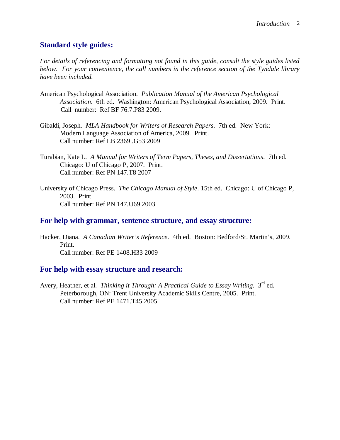## **Standard style guides:**

*For details of referencing and formatting not found in this guide, consult the style guides listed below. For your convenience, the call numbers in the reference section of the Tyndale library have been included.*

- American Psychological Association. *Publication Manual of the American Psychological Association*. 6th ed. Washington: American Psychological Association, 2009. Print. Call number: Ref BF 76.7.P83 2009.
- Gibaldi, Joseph. *MLA Handbook for Writers of Research Papers*. 7th ed. New York: Modern Language Association of America, 2009. Print. Call number: Ref LB 2369 .G53 2009
- Turabian, Kate L. *A Manual for Writers of Term Papers, Theses, and Dissertations*. 7th ed. Chicago: U of Chicago P, 2007. Print. Call number: Ref PN 147.T8 2007
- University of Chicago Press. *The Chicago Manual of Style*. 15th ed. Chicago: U of Chicago P, 2003. Print. Call number: Ref PN 147.U69 2003

## **For help with grammar, sentence structure, and essay structure:**

Hacker, Diana. *A Canadian Writer's Reference*. 4th ed. Boston: Bedford/St. Martin's, 2009. Print. Call number: Ref PE 1408.H33 2009

## **For help with essay structure and research:**

Avery, Heather, et al. *Thinking it Through: A Practical Guide to Essay Writing.* 3<sup>rd</sup> ed. Peterborough, ON: Trent University Academic Skills Centre, 2005. Print. Call number: Ref PE 1471.T45 2005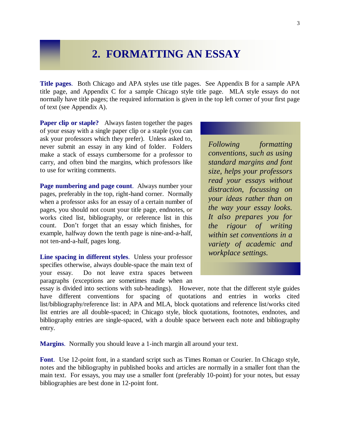## **2. FORMATTING AN ESSAY**

**Title pages**. Both Chicago and APA styles use title pages. See Appendix B for a sample APA title page, and Appendix C for a sample Chicago style title page. MLA style essays do not normally have title pages; the required information is given in the top left corner of your first page of text (see Appendix A).

**Paper clip or staple?** Always fasten together the pages of your essay with a single paper clip or a staple (you can ask your professors which they prefer). Unless asked to, never submit an essay in any kind of folder. Folders make a stack of essays cumbersome for a professor to carry, and often bind the margins, which professors like to use for writing comments.

**Page numbering and page count**. Always number your pages, preferably in the top, right-hand corner. Normally when a professor asks for an essay of a certain number of pages, you should not count your title page, endnotes, or works cited list, bibliography, or reference list in this count. Don't forget that an essay which finishes, for example, halfway down the tenth page is nine-and-a-half, not ten-and-a-half, pages long.

**Line spacing in different styles**. Unless your professor specifies otherwise, always double-space the main text of your essay. Do not leave extra spaces between paragraphs (exceptions are sometimes made when an

*Following formatting conventions, such as using standard margins and font size, helps your professors read your essays without distraction, focussing on your ideas rather than on the way your essay looks. It also prepares you for the rigour of writing within set conventions in a variety of academic and workplace settings.*

essay is divided into sections with sub-headings). However, note that the different style guides have different conventions for spacing of quotations and entries in works cited list/bibliography/reference list: in APA and MLA, block quotations and reference list/works cited list entries are all double-spaced; in Chicago style, block quotations, footnotes, endnotes, and bibliography entries are single-spaced, with a double space between each note and bibliography entry.

**Margins**.Normally you should leave a 1-inch margin all around your text.

**Font**. Use 12-point font, in a standard script such as Times Roman or Courier. In Chicago style, notes and the bibliography in published books and articles are normally in a smaller font than the main text. For essays, you may use a smaller font (preferably 10-point) for your notes, but essay bibliographies are best done in 12-point font.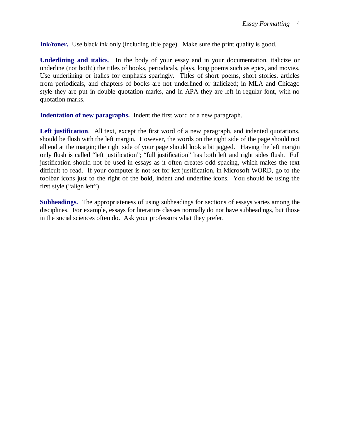**Ink/toner.** Use black ink only (including title page). Make sure the print quality is good.

**Underlining and italics**. In the body of your essay and in your documentation, italicize or underline (not both!) the titles of books, periodicals, plays, long poems such as epics, and movies. Use underlining or italics for emphasis sparingly. Titles of short poems, short stories, articles from periodicals, and chapters of books are not underlined or italicized; in MLA and Chicago style they are put in double quotation marks, and in APA they are left in regular font, with no quotation marks.

**Indentation of new paragraphs.** Indent the first word of a new paragraph.

Left justification. All text, except the first word of a new paragraph, and indented quotations, should be flush with the left margin. However, the words on the right side of the page should not all end at the margin; the right side of your page should look a bit jagged. Having the left margin only flush is called "left justification"; "full justification" has both left and right sides flush. Full justification should not be used in essays as it often creates odd spacing, which makes the text difficult to read. If your computer is not set for left justification, in Microsoft WORD, go to the toolbar icons just to the right of the bold, indent and underline icons. You should be using the first style ("align left").

**Subheadings.** The appropriateness of using subheadings for sections of essays varies among the disciplines. For example, essays for literature classes normally do not have subheadings, but those in the social sciences often do. Ask your professors what they prefer.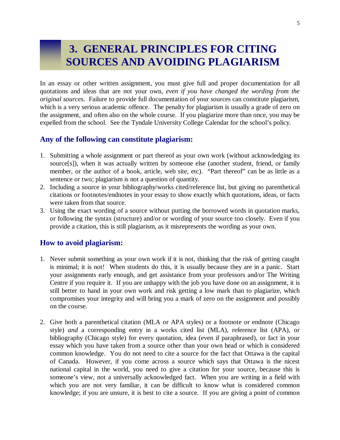## **3. GENERAL PRINCIPLES FOR CITING SOURCES AND AVOIDING PLAGIARISM**

In an essay or other written assignment, you must give full and proper documentation for all quotations and ideas that are not your own, *even if you have changed the wording from the original sources*. Failure to provide full documentation of your sources can constitute plagiarism, which is a very serious academic offence. The penalty for plagiarism is usually a grade of zero on the assignment, and often also on the whole course. If you plagiarize more than once, you may be expelled from the school. See the Tyndale University College Calendar for the school's policy.

## **Any of the following can constitute plagiarism:**

- 1. Submitting a whole assignment or part thereof as your own work (without acknowledging its source[s]), when it was actually written by someone else (another student, friend, or family member, or the author of a book, article, web site, etc). "Part thereof" can be as little as a sentence or two; plagiarism is not a question of quantity.
- 2. Including a source in your bibliography/works cited/reference list, but giving no parenthetical citations or footnotes/endnotes in your essay to show exactly which quotations, ideas, or facts were taken from that source.
- 3. Using the exact wording of a source without putting the borrowed words in quotation marks, or following the syntax (structure) and/or or wording of your source too closely. Even if you provide a citation, this is still plagiarism, as it misrepresents the wording as your own.

## **How to avoid plagiarism:**

- 1. Never submit something as your own work if it is not, thinking that the risk of getting caught is minimal; it is not! When students do this, it is usually because they are in a panic. Start your assignments early enough, and get assistance from your professors and/or The Writing Centre if you require it. If you are unhappy with the job you have done on an assignment, it is still better to hand in your own work and risk getting a low mark than to plagiarize, which compromises your integrity and will bring you a mark of zero on the assignment and possibly on the course.
- 2. Give both a parenthetical citation (MLA or APA styles) or a footnote or endnote (Chicago style) *and* a corresponding entry in a works cited list (MLA), reference list (APA), or bibliography (Chicago style) for every quotation, idea (even if paraphrased), or fact in your essay which you have taken from a source other than your own head or which is considered common knowledge. You do not need to cite a source for the fact that Ottawa is the capital of Canada. However, if you come across a source which says that Ottawa is the nicest national capital in the world, you need to give a citation for your source, because this is someone's view, not a universally acknowledged fact. When you are writing in a field with which you are not very familiar, it can be difficult to know what is considered common knowledge; if you are unsure, it is best to cite a source. If you are giving a point of common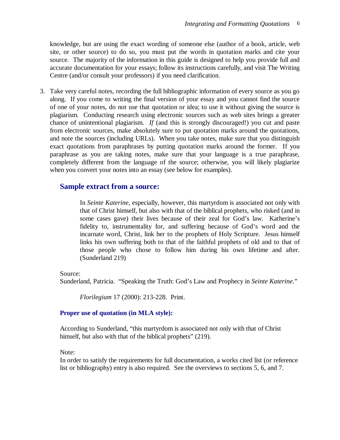knowledge, but are using the exact wording of someone else (author of a book, article, web site, or other source) to do so, you must put the words in quotation marks and cite your source. The majority of the information in this guide is designed to help you provide full and accurate documentation for your essays; follow its instructions carefully, and visit The Writing Centre (and/or consult your professors) if you need clarification.

3. Take very careful notes, recording the full bibliographic information of every source as you go along. If you come to writing the final version of your essay and you cannot find the source of one of your notes, do not use that quotation or idea; to use it without giving the source is plagiarism. Conducting research using electronic sources such as web sites brings a greater chance of unintentional plagiarism. *If* (and this is strongly discouraged!) you cut and paste from electronic sources, make absolutely sure to put quotation marks around the quotations, and note the sources (including URLs). When you take notes, make sure that you distinguish exact quotations from paraphrases by putting quotation marks around the former. If you paraphrase as you are taking notes, make sure that your language is a true paraphrase, completely different from the language of the source; otherwise, you will likely plagiarize when you convert your notes into an essay (see below for examples).

## **Sample extract from a source:**

In *Seinte Katerine*, especially, however, this martyrdom is associated not only with that of Christ himself, but also with that of the biblical prophets, who risked (and in some cases gave) their lives because of their zeal for God's law. Katherine's fidelity to, instrumentality for, and suffering because of God's word and the incarnate word, Christ, link her to the prophets of Holy Scripture. Jesus himself links his own suffering both to that of the faithful prophets of old and to that of those people who chose to follow him during his own lifetime and after. (Sunderland 219)

Source:

Sunderland, Patricia. "Speaking the Truth: God's Law and Prophecy in *Seinte Katerine*."

*Florilegium* 17 (2000): 213-228. Print.

#### **Proper use of quotation (in MLA style):**

According to Sunderland, "this martyrdom is associated not only with that of Christ himself, but also with that of the biblical prophets" (219).

Note:

In order to satisfy the requirements for full documentation, a works cited list (or reference list or bibliography) entry is also required. See the overviews to sections 5, 6, and 7.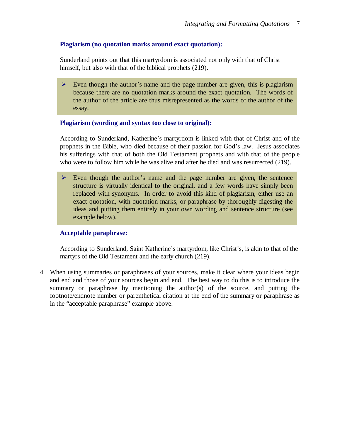#### **Plagiarism (no quotation marks around exact quotation):**

Sunderland points out that this martyrdom is associated not only with that of Christ himself, but also with that of the biblical prophets (219).

 $\triangleright$  Even though the author's name and the page number are given, this is plagiarism because there are no quotation marks around the exact quotation. The words of the author of the article are thus misrepresented as the words of the author of the essay.

#### **Plagiarism (wording and syntax too close to original):**

According to Sunderland, Katherine's martyrdom is linked with that of Christ and of the prophets in the Bible, who died because of their passion for God's law. Jesus associates his sufferings with that of both the Old Testament prophets and with that of the people who were to follow him while he was alive and after he died and was resurrected (219).

 $\triangleright$  Even though the author's name and the page number are given, the sentence structure is virtually identical to the original, and a few words have simply been replaced with synonyms. In order to avoid this kind of plagiarism, either use an exact quotation, with quotation marks, or paraphrase by thoroughly digesting the ideas and putting them entirely in your own wording and sentence structure (see example below).

#### **Acceptable paraphrase:**

According to Sunderland, Saint Katherine's martyrdom, like Christ's, is akin to that of the martyrs of the Old Testament and the early church (219).

4. When using summaries or paraphrases of your sources, make it clear where your ideas begin and end and those of your sources begin and end. The best way to do this is to introduce the summary or paraphrase by mentioning the author(s) of the source, and putting the footnote/endnote number or parenthetical citation at the end of the summary or paraphrase as in the "acceptable paraphrase" example above.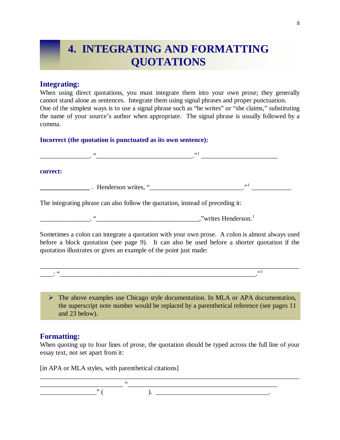## **4. INTEGRATING AND FORMATTING QUOTATIONS**

## **Integrating:**

When using direct quotations, you must integrate them into your own prose; they generally cannot stand alone as sentences. Integrate them using signal phrases and proper punctuation. One of the simplest ways is to use a signal phrase such as "he writes" or "she claims," substituting the name of your source's author when appropriate. The signal phrase is usually followed by a comma.

#### **Incorrect (the quotation is punctuated as its own sentence):**

| correct:                                                                                                                                                                                                                             |                                                                                                                                                                                                |
|--------------------------------------------------------------------------------------------------------------------------------------------------------------------------------------------------------------------------------------|------------------------------------------------------------------------------------------------------------------------------------------------------------------------------------------------|
| <b>Manuel According to the Contract of Tenants and Tenants and Tenants and Tenants and Tenants and Tenants and Tenants and Tenants and Tenants and Tenants and Tenants and Tenants and Tenants and Tenants and Tenants and Tenan</b> | $\cdot$ <sup>1</sup>                                                                                                                                                                           |
| The integrating phrase can also follow the quotation, instead of preceding it:                                                                                                                                                       |                                                                                                                                                                                                |
|                                                                                                                                                                                                                                      |                                                                                                                                                                                                |
| quotation illustrates or gives an example of the point just made:                                                                                                                                                                    | Sometimes a colon can integrate a quotation with your own prose. A colon is almost always used<br>before a block quotation (see page 9). It can also be used before a shorter quotation if the |
|                                                                                                                                                                                                                                      | , 1                                                                                                                                                                                            |
|                                                                                                                                                                                                                                      |                                                                                                                                                                                                |
|                                                                                                                                                                                                                                      | $\triangleright$ The above examples use Chicago style documentation. In MLA or APA documentation,<br>the superscript note number would be replaced by a parenthetical reference (see pages 11) |

and 23 below).

## **Formatting:**

When quoting up to four lines of prose, the quotation should be typed across the full line of your essay text, not set apart from it:

\_\_\_\_\_\_\_\_\_\_\_\_\_\_\_\_\_\_\_\_\_\_\_\_\_\_\_\_\_\_\_\_\_\_\_\_\_\_\_\_\_\_\_\_\_\_\_\_\_\_\_\_\_\_\_\_\_\_\_\_\_\_\_\_\_\_\_\_\_\_\_\_\_\_\_\_\_\_

[in APA or MLA styles, with parenthetical citations]

\_\_\_\_\_\_\_\_\_\_\_\_\_\_\_\_\_\_\_\_\_\_\_\_\_ "\_\_\_\_\_\_\_\_\_\_\_\_\_\_\_\_\_\_\_\_\_\_\_\_\_\_\_\_\_\_\_\_\_\_\_\_\_\_\_\_\_\_\_\_\_ \_\_\_\_\_\_\_\_\_\_\_\_\_\_\_\_\_" ( ). \_\_\_\_\_\_\_\_\_\_\_\_\_\_\_\_\_\_\_\_\_\_\_\_\_\_\_\_\_\_\_\_\_\_.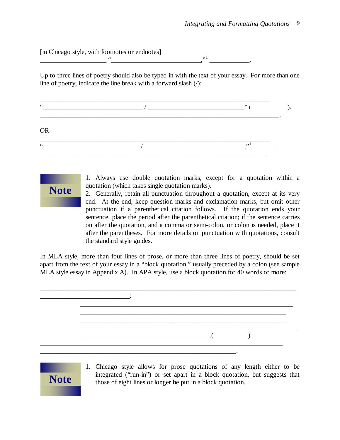[in Chicago style, with footnotes or endnotes]  $\overbrace{\phantom{aa}}^{,,1},$ \_\_\_\_\_\_\_\_\_\_\_\_.

Up to three lines of poetry should also be typed in with the text of your essay. For more than one line of poetry, indicate the line break with a forward slash (/):

|             | , , |  |
|-------------|-----|--|
| <b>OR</b>   |     |  |
| $\,$ 6 $\,$ | , 1 |  |



1. Always use double quotation marks, except for a quotation within a quotation (which takes single quotation marks).

2. Generally, retain all punctuation throughout a quotation, except at its very end. At the end, keep question marks and exclamation marks, but omit other punctuation if a parenthetical citation follows. If the quotation ends your sentence, place the period after the parenthetical citation; if the sentence carries on after the quotation, and a comma or semi-colon, or colon is needed, place it after the parentheses. For more details on punctuation with quotations, consult the standard style guides.

In MLA style, more than four lines of prose, or more than three lines of poetry, should be set apart from the text of your essay in a "block quotation," usually preceded by a colon (see sample MLA style essay in Appendix A). In APA style, use a block quotation for 40 words or more:





1. Chicago style allows for prose quotations of any length either to be integrated ("run-in") or set apart in a block quotation, but suggests that those of eight lines or longer be put in a block quotation.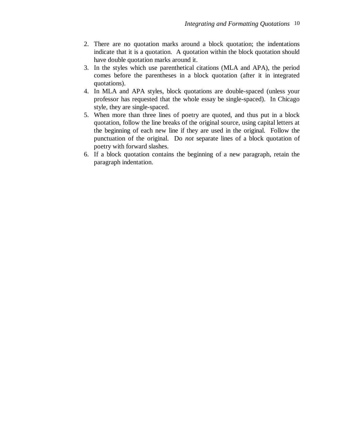- 2. There are no quotation marks around a block quotation; the indentations indicate that it is a quotation. A quotation within the block quotation should have double quotation marks around it.
- 3. In the styles which use parenthetical citations (MLA and APA), the period comes before the parentheses in a block quotation (after it in integrated quotations).
- 4. In MLA and APA styles, block quotations are double-spaced (unless your professor has requested that the whole essay be single-spaced). In Chicago style, they are single-spaced.
- 5. When more than three lines of poetry are quoted, and thus put in a block quotation, follow the line breaks of the original source, using capital letters at the beginning of each new line if they are used in the original. Follow the punctuation of the original. Do *not* separate lines of a block quotation of poetry with forward slashes.
- 6. If a block quotation contains the beginning of a new paragraph, retain the paragraph indentation.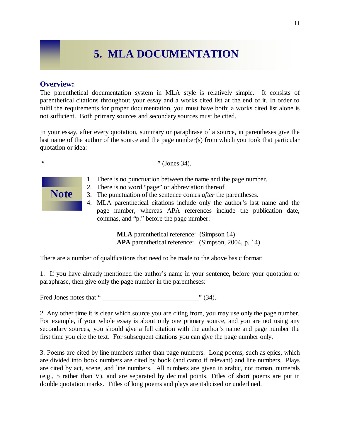## **5. MLA DOCUMENTATION**

### **Overview:**

The parenthetical documentation system in MLA style is relatively simple. It consists of parenthetical citations throughout your essay and a works cited list at the end of it. In order to fulfil the requirements for proper documentation, you must have both; a works cited list alone is not sufficient. Both primary sources and secondary sources must be cited.

In your essay, after every quotation, summary or paraphrase of a source, in parentheses give the last name of the author of the source and the page number(s) from which you took that particular quotation or idea:

 $\cdots$  (Jones 34).



- 1. There is no punctuation between the name and the page number.
- 2. There is no word "page" or abbreviation thereof.
- 3. The punctuation of the sentence comes *after* the parentheses.
- 4. MLA parenthetical citations include only the author's last name and the page number, whereas APA references include the publication date, commas, and "p." before the page number:

**MLA** parenthetical reference: (Simpson 14) **APA** parenthetical reference: (Simpson, 2004, p. 14)

There are a number of qualifications that need to be made to the above basic format:

1. If you have already mentioned the author's name in your sentence, before your quotation or paraphrase, then give only the page number in the parentheses:

Fred Jones notes that " \_\_\_\_\_\_\_\_\_\_\_\_\_\_\_\_\_\_\_\_\_\_\_\_\_\_\_\_\_" (34).

2. Any other time it is clear which source you are citing from, you may use only the page number. For example, if your whole essay is about only one primary source, and you are not using any secondary sources, you should give a full citation with the author's name and page number the first time you cite the text. For subsequent citations you can give the page number only.

3. Poems are cited by line numbers rather than page numbers. Long poems, such as epics, which are divided into book numbers are cited by book (and canto if relevant) and line numbers. Plays are cited by act, scene, and line numbers. All numbers are given in arabic, not roman, numerals (e.g., 5 rather than V), and are separated by decimal points. Titles of short poems are put in double quotation marks. Titles of long poems and plays are italicized or underlined.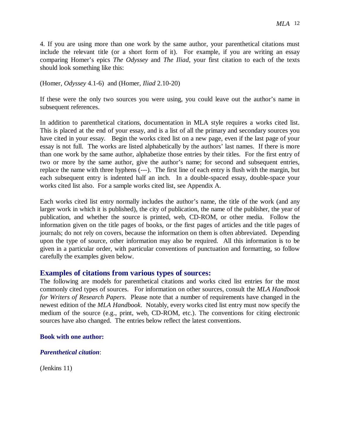4. If you are using more than one work by the same author, your parenthetical citations must include the relevant title (or a short form of it). For example, if you are writing an essay comparing Homer's epics *The Odyssey* and *The Iliad*, your first citation to each of the texts should look something like this:

(Homer, *Odyssey* 4.1-6) and (Homer, *Iliad* 2.10-20)

If these were the only two sources you were using, you could leave out the author's name in subsequent references.

In addition to parenthetical citations, documentation in MLA style requires a works cited list. This is placed at the end of your essay, and is a list of all the primary and secondary sources you have cited in your essay. Begin the works cited list on a new page, even if the last page of your essay is not full. The works are listed alphabetically by the authors' last names. If there is more than one work by the same author, alphabetize those entries by their titles. For the first entry of two or more by the same author, give the author's name; for second and subsequent entries, replace the name with three hyphens (---). The first line of each entry is flush with the margin, but each subsequent entry is indented half an inch. In a double-spaced essay, double-space your works cited list also. For a sample works cited list, see Appendix A.

Each works cited list entry normally includes the author's name, the title of the work (and any larger work in which it is published), the city of publication, the name of the publisher, the year of publication, and whether the source is printed, web, CD-ROM, or other media. Follow the information given on the title pages of books, or the first pages of articles and the title pages of journals; do not rely on covers, because the information on them is often abbreviated. Depending upon the type of source, other information may also be required. All this information is to be given in a particular order, with particular conventions of punctuation and formatting, so follow carefully the examples given below.

#### **Examples of citations from various types of sources:**

The following are models for parenthetical citations and works cited list entries for the most commonly cited types of sources. For information on other sources, consult the *MLA Handbook for Writers of Research Papers*. Please note that a number of requirements have changed in the newest edition of the *MLA Handbook*. Notably, every works cited list entry must now specify the medium of the source (e.g., print, web, CD-ROM, etc.). The conventions for citing electronic sources have also changed. The entries below reflect the latest conventions.

#### **Book with one author:**

#### *Parenthetical citation*:

(Jenkins 11)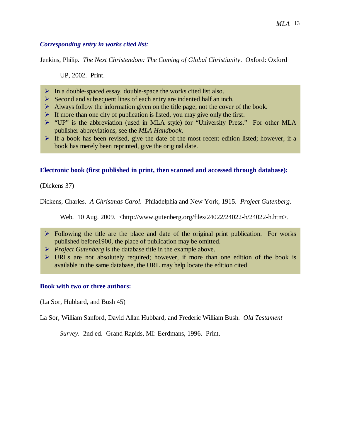#### *MLA* 13

### *Corresponding entry in works cited list:*

Jenkins, Philip. *The Next Christendom: The Coming of Global Christianity*. Oxford: Oxford

UP, 2002. Print.

- $\triangleright$  In a double-spaced essay, double-space the works cited list also.
- $\triangleright$  Second and subsequent lines of each entry are indented half an inch.
- $\triangleright$  Always follow the information given on the title page, not the cover of the book.
- If more than one city of publication is listed, you may give only the first.
- "UP" is the abbreviation (used in MLA style) for "University Press." For other MLA publisher abbreviations, see the *MLA Handbook*.
- $\triangleright$  If a book has been revised, give the date of the most recent edition listed; however, if a book has merely been reprinted, give the original date.

### **Electronic book (first published in print, then scanned and accessed through database):**

(Dickens 37)

Dickens, Charles. *A Christmas Carol*. Philadelphia and New York, 1915. *Project Gutenberg*.

Web. 10 Aug. 2009. <http://www.gutenberg.org/files/24022/24022-h/24022-h.htm>.

- $\triangleright$  Following the title are the place and date of the original print publication. For works published before1900, the place of publication may be omitted.
- *Project Gutenberg* is the database title in the example above.
- $\triangleright$  URLs are not absolutely required; however, if more than one edition of the book is available in the same database, the URL may help locate the edition cited.

#### **Book with two or three authors:**

(La Sor, Hubbard, and Bush 45)

La Sor, William Sanford, David Allan Hubbard, and Frederic William Bush. *Old Testament* 

*Survey*. 2nd ed. Grand Rapids, MI: Eerdmans, 1996. Print.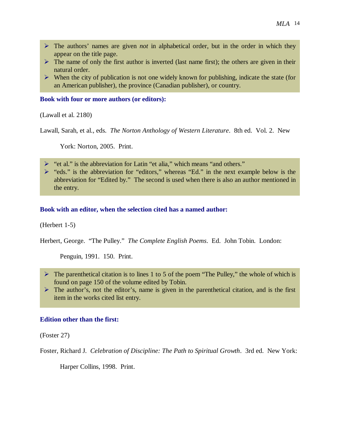- The authors' names are given *not* in alphabetical order, but in the order in which they appear on the title page.
- $\triangleright$  The name of only the first author is inverted (last name first); the others are given in their natural order.
- $\triangleright$  When the city of publication is not one widely known for publishing, indicate the state (for an American publisher), the province (Canadian publisher), or country.

#### **Book with four or more authors (or editors):**

(Lawall et al. 2180)

Lawall, Sarah, et al., eds. *The Norton Anthology of Western Literature*. 8th ed. Vol. 2. New

York: Norton, 2005. Print.

- > "et al." is the abbreviation for Latin "et alia," which means "and others."
- $\triangleright$  "eds." is the abbreviation for "editors," whereas "Ed." in the next example below is the abbreviation for "Edited by." The second is used when there is also an author mentioned in the entry.

#### **Book with an editor, when the selection cited has a named author:**

#### (Herbert 1-5)

Herbert, George. "The Pulley." *The Complete English Poems*. Ed. John Tobin. London:

Penguin, 1991. 150. Print.

- $\triangleright$  The parenthetical citation is to lines 1 to 5 of the poem "The Pulley," the whole of which is found on page 150 of the volume edited by Tobin.
- $\triangleright$  The author's, not the editor's, name is given in the parenthetical citation, and is the first item in the works cited list entry.

#### **Edition other than the first:**

(Foster 27)

Foster, Richard J. *Celebration of Discipline: The Path to Spiritual Growth*. 3rd ed. New York:

Harper Collins, 1998. Print.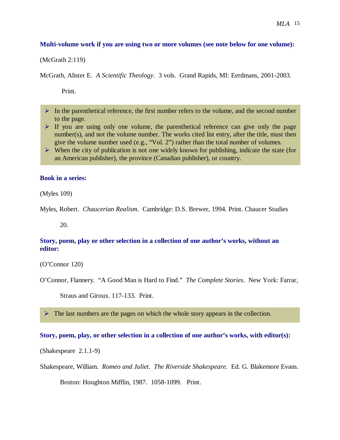#### **Multi-volume work if you are using two or more volumes (see note below for one volume):**

(McGrath 2:119)

McGrath, Alister E. *A Scientific Theology*. 3 vols. Grand Rapids, MI: Eerdmans, 2001-2003.

Print.

- $\triangleright$  In the parenthetical reference, the first number refers to the volume, and the second number to the page.
- $\triangleright$  If you are using only one volume, the parenthetical reference can give only the page number(s), and not the volume number. The works cited list entry, after the title, must then give the volume number used (e.g., "Vol. 2") rather than the total number of volumes.
- $\triangleright$  When the city of publication is not one widely known for publishing, indicate the state (for an American publisher), the province (Canadian publisher), or country.

#### **Book in a series:**

(Myles 109)

Myles, Robert. *Chaucerian Realism*. Cambridge: D.S. Brewer, 1994. Print. Chaucer Studies

20.

### **Story, poem, play or other selection in a collection of one author's works, without an editor:**

(O'Connor 120)

Straus and Giroux. 117-133. Print.

 $\triangleright$  The last numbers are the pages on which the whole story appears in the collection.

#### **Story, poem, play, or other selection in a collection of one author's works, with editor(s):**

(Shakespeare 2.1.1-9)

Shakespeare, William. *Romeo and Juliet*. *The Riverside Shakespeare*. Ed. G. Blakemore Evans.

Boston: Houghton Mifflin, 1987. 1058-1099. Print.

O'Connor, Flannery. "A Good Man is Hard to Find." *The Complete Stories*. New York: Farrar,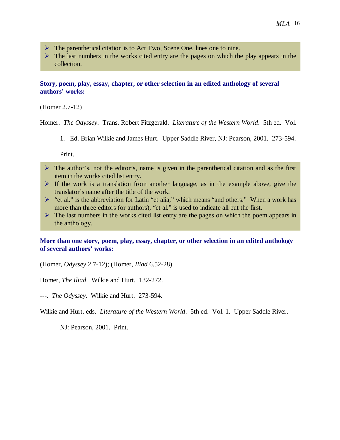- $\triangleright$  The parenthetical citation is to Act Two, Scene One, lines one to nine.
- $\triangleright$  The last numbers in the works cited entry are the pages on which the play appears in the collection.

### **Story, poem, play, essay, chapter, or other selection in an edited anthology of several authors' works:**

(Homer 2.7-12)

Homer. *The Odyssey*. Trans. Robert Fitzgerald. *Literature of the Western World*. 5th ed. Vol.

1. Ed. Brian Wilkie and James Hurt. Upper Saddle River, NJ: Pearson, 2001. 273-594.

Print.

- $\triangleright$  The author's, not the editor's, name is given in the parenthetical citation and as the first item in the works cited list entry.
- $\triangleright$  If the work is a translation from another language, as in the example above, give the translator's name after the title of the work.
- $\triangleright$  "et al." is the abbreviation for Latin "et alia," which means "and others." When a work has more than three editors (or authors), "et al." is used to indicate all but the first.
- $\triangleright$  The last numbers in the works cited list entry are the pages on which the poem appears in the anthology.

### **More than one story, poem, play, essay, chapter, or other selection in an edited anthology of several authors' works:**

(Homer, *Odyssey* 2.7-12); (Homer, *Iliad* 6.52-28)

Homer, *The Iliad*. Wilkie and Hurt. 132-272.

---. *The Odyssey*. Wilkie and Hurt. 273-594.

Wilkie and Hurt, eds. *Literature of the Western World*. 5th ed. Vol. 1. Upper Saddle River,

NJ: Pearson, 2001. Print.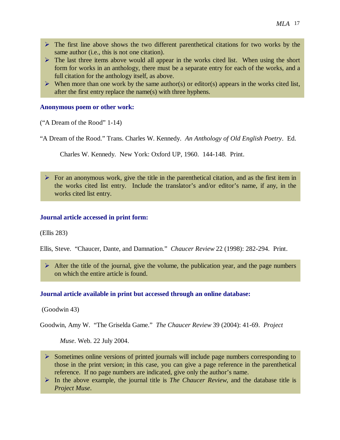- $\triangleright$  The first line above shows the two different parenthetical citations for two works by the same author (i.e., this is not one citation).
- $\triangleright$  The last three items above would all appear in the works cited list. When using the short form for works in an anthology, there must be a separate entry for each of the works, and a full citation for the anthology itself, as above.
- $\triangleright$  When more than one work by the same author(s) or editor(s) appears in the works cited list, after the first entry replace the name(s) with three hyphens.

#### **Anonymous poem or other work:**

("A Dream of the Rood" 1-14)

"A Dream of the Rood." Trans. Charles W. Kennedy. *An Anthology of Old English Poetry*. Ed.

Charles W. Kennedy. New York: Oxford UP, 1960. 144-148. Print.

 $\triangleright$  For an anonymous work, give the title in the parenthetical citation, and as the first item in the works cited list entry. Include the translator's and/or editor's name, if any, in the works cited list entry.

#### **Journal article accessed in print form:**

(Ellis 283)

Ellis, Steve. "Chaucer, Dante, and Damnation." *Chaucer Review* 22 (1998): 282-294. Print.

 $\triangleright$  After the title of the journal, give the volume, the publication year, and the page numbers on which the entire article is found.

#### **Journal article available in print but accessed through an online database:**

(Goodwin 43)

Goodwin, Amy W. "The Griselda Game." *The Chaucer Review* 39 (2004): 41-69. *Project* 

*Muse*. Web. 22 July 2004.

- $\triangleright$  Sometimes online versions of printed journals will include page numbers corresponding to those in the print version; in this case, you can give a page reference in the parenthetical reference. If no page numbers are indicated, give only the author's name.
- In the above example, the journal title is *The Chaucer Review*, and the database title is *Project Muse*.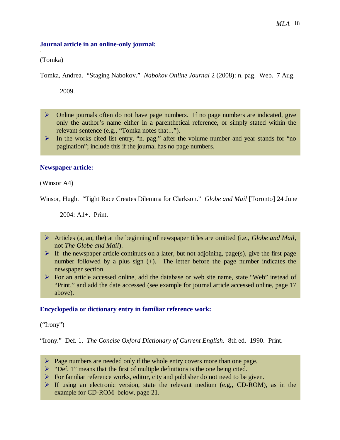#### **Journal article in an online-only journal:**

(Tomka)

Tomka, Andrea. "Staging Nabokov." *Nabokov Online Journal* 2 (2008): n. pag. Web. 7 Aug.

2009.

- $\triangleright$  Online journals often do not have page numbers. If no page numbers are indicated, give only the author's name either in a parenthetical reference, or simply stated within the relevant sentence (e.g., "Tomka notes that...").
- $\triangleright$  In the works cited list entry, "n. pag." after the volume number and year stands for "no pagination"; include this if the journal has no page numbers.

#### **Newspaper article:**

(Winsor A4)

Winsor, Hugh. "Tight Race Creates Dilemma for Clarkson." *Globe and Mail* [Toronto] 24 June

 $2004: A1 +$ . Print.

- Articles (a, an, the) at the beginning of newspaper titles are omitted (i.e., *Globe and Mail*, not *The Globe and Mail*).
- $\triangleright$  If the newspaper article continues on a later, but not adjoining, page(s), give the first page number followed by a plus sign (+). The letter before the page number indicates the newspaper section.
- $\triangleright$  For an article accessed online, add the database or web site name, state "Web" instead of "Print," and add the date accessed (see example for journal article accessed online, page 17 above).

#### **Encyclopedia or dictionary entry in familiar reference work:**

("Irony")

"Irony." Def. 1. *The Concise Oxford Dictionary of Current English*. 8th ed. 1990. Print.

- $\triangleright$  Page numbers are needed only if the whole entry covers more than one page.
- $\triangleright$  "Def. 1" means that the first of multiple definitions is the one being cited.
- $\triangleright$  For familiar reference works, editor, city and publisher do not need to be given.
- $\triangleright$  If using an electronic version, state the relevant medium (e.g,, CD-ROM), as in the example for CD-ROM below, page 21.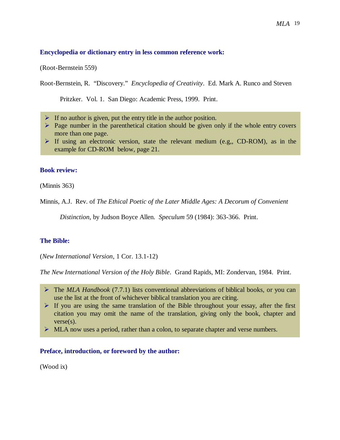#### **Encyclopedia or dictionary entry in less common reference work:**

(Root-Bernstein 559)

Root-Bernstein, R. "Discovery." *Encyclopedia of Creativity*. Ed. Mark A. Runco and Steven

Pritzker. Vol. 1. San Diego: Academic Press, 1999. Print.

- $\triangleright$  If no author is given, put the entry title in the author position.
- $\triangleright$  Page number in the parenthetical citation should be given only if the whole entry covers more than one page.
- $\triangleright$  If using an electronic version, state the relevant medium (e.g., CD-ROM), as in the example for CD-ROM below, page 21.

#### **Book review:**

(Minnis 363)

Minnis, A.J. Rev. of *The Ethical Poetic of the Later Middle Ages: A Decorum of Convenient* 

*Distinction*, by Judson Boyce Allen. *Speculum* 59 (1984): 363-366. Print.

#### **The Bible:**

(*New International Version*, 1 Cor. 13.1-12)

*The New International Version of the Holy Bible*. Grand Rapids, MI: Zondervan, 1984. Print.

- $\triangleright$  If you are using the same translation of the Bible throughout your essay, after the first citation you may omit the name of the translation, giving only the book, chapter and verse(s).
- $\triangleright$  MLA now uses a period, rather than a colon, to separate chapter and verse numbers.

#### **Preface, introduction, or foreword by the author:**

(Wood ix)

The *MLA Handbook* (7.7.1) lists conventional abbreviations of biblical books, or you can use the list at the front of whichever biblical translation you are citing.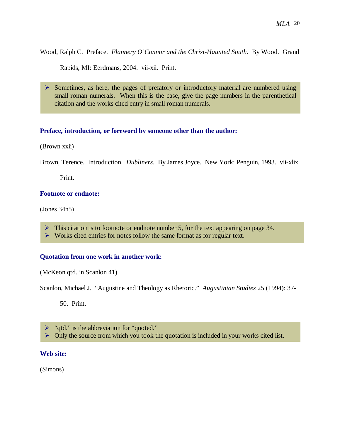Wood, Ralph C. Preface. *Flannery O'Connor and the Christ-Haunted South*. By Wood. Grand

Rapids, MI: Eerdmans, 2004. vii-xii. Print.

 $\triangleright$  Sometimes, as here, the pages of prefatory or introductory material are numbered using small roman numerals. When this is the case, give the page numbers in the parenthetical citation and the works cited entry in small roman numerals.

### **Preface, introduction, or foreword by someone other than the author:**

(Brown xxii)

Brown, Terence. Introduction. *Dubliners*. By James Joyce. New York: Penguin, 1993. vii-xlix

Print.

#### **Footnote or endnote:**

(Jones 34n5)

- $\triangleright$  This citation is to footnote or endnote number 5, for the text appearing on page 34.
- $\triangleright$  Works cited entries for notes follow the same format as for regular text.

#### **Quotation from one work in another work:**

(McKeon qtd. in Scanlon 41)

Scanlon, Michael J. "Augustine and Theology as Rhetoric." *Augustinian Studies* 25 (1994): 37-

50. Print.

 $\triangleright$  "qtd." is the abbreviation for "quoted."

 $\triangleright$  Only the source from which you took the quotation is included in your works cited list.

#### **Web site:**

(Simons)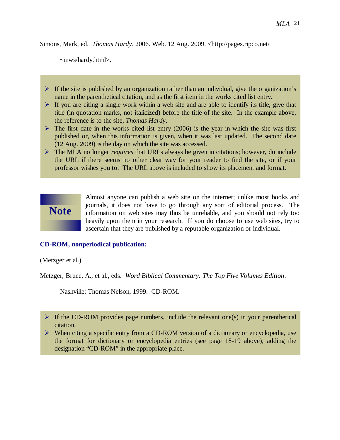Simons, Mark, ed. *Thomas Hardy*. 2006. Web. 12 Aug. 2009. <http://pages.ripco.net/

~mws/hardy.html>.

- $\triangleright$  If the site is published by an organization rather than an individual, give the organization's name in the parenthetical citation, and as the first item in the works cited list entry.
- $\triangleright$  If you are citing a single work within a web site and are able to identify its title, give that title (in quotation marks, not italicized) before the title of the site. In the example above, the reference is to the site, *Thomas Hardy*.
- $\triangleright$  The first date in the works cited list entry (2006) is the year in which the site was first published or, when this information is given, when it was last updated. The second date (12 Aug. 2009) is the day on which the site was accessed.
- The MLA no longer *requires* that URLs always be given in citations; however, do include the URL if there seems no other clear way for your reader to find the site, or if your professor wishes you to. The URL above is included to show its placement and format.



Almost anyone can publish a web site on the internet; unlike most books and journals, it does not have to go through any sort of editorial process. The information on web sites may thus be unreliable, and you should not rely too heavily upon them in your research. If you do choose to use web sites, try to ascertain that they are published by a reputable organization or individual.

## **CD-ROM, nonperiodical publication:**

(Metzger et al.)

Metzger, Bruce, A., et al., eds. *Word Biblical Commentary: The Top Five Volumes Edition*.

Nashville: Thomas Nelson, 1999. CD-ROM.

- $\triangleright$  If the CD-ROM provides page numbers, include the relevant one(s) in your parenthetical citation.
- $\triangleright$  When citing a specific entry from a CD-ROM version of a dictionary or encyclopedia, use the format for dictionary or encyclopedia entries (see page 18-19 above), adding the designation "CD-ROM" in the appropriate place.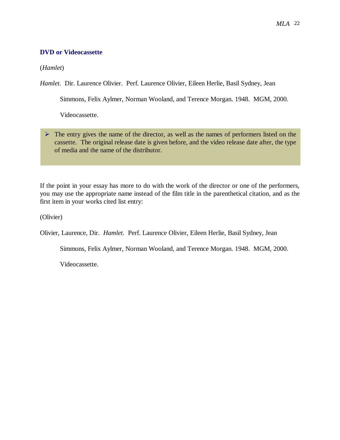## **DVD or Videocassette**

(*Hamlet*)

*Hamlet*. Dir. Laurence Olivier. Perf. Laurence Olivier, Eileen Herlie, Basil Sydney, Jean

Simmons, Felix Aylmer, Norman Wooland, and Terence Morgan. 1948. MGM, 2000.

Videocassette.

 $\triangleright$  The entry gives the name of the director, as well as the names of performers listed on the cassette. The original release date is given before, and the video release date after, the type of media and the name of the distributor.

If the point in your essay has more to do with the work of the director or one of the performers, you may use the appropriate name instead of the film title in the parenthetical citation, and as the first item in your works cited list entry:

(Olivier)

Olivier, Laurence, Dir. *Hamlet*. Perf. Laurence Olivier, Eileen Herlie, Basil Sydney, Jean

Simmons, Felix Aylmer, Norman Wooland, and Terence Morgan. 1948. MGM, 2000.

Videocassette.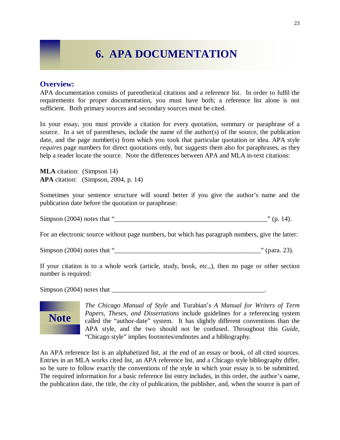## **6. APA DOCUMENTATION**

## **Overview:**

APA documentation consists of parenthetical citations and a reference list. In order to fulfil the requirements for proper documentation, you must have both; a reference list alone is not sufficient. Both primary sources and secondary sources must be cited.

In your essay, you must provide a citation for every quotation, summary or paraphrase of a source. In a set of parentheses, include the name of the author(s) of the source, the publication date, and the page number(s) from which you took that particular quotation or idea. APA style *requires* page numbers for direct quotations only, but *suggests* them also for paraphrases, as they help a reader locate the source. Note the differences between APA and MLA in-text citations:

**MLA** citation: (Simpson 14) **APA** citation: (Simpson, 2004, p. 14)

Sometimes your sentence structure will sound better if you give the author's name and the publication date before the quotation or paraphrase:

Simpson (2004) notes that "\_\_\_\_\_\_\_\_\_\_\_\_\_\_\_\_\_\_\_\_\_\_\_\_\_\_\_\_\_\_\_\_\_\_\_\_\_\_\_\_\_\_\_\_\_\_" (p. 14).

For an electronic source without page numbers, but which has paragraph numbers, give the latter:

Simpson  $(2004)$  notes that " $\blacksquare$ " (para. 23).

If your citation is to a whole work (article, study, book, etc.,), then no page or other section number is required:

 $Simpson (2004)$  notes that  $\Box$ 



*The Chicago Manual of Style* and Turabian's *A Manual for Writers of Term Papers, Theses, and Dissertations* include guidelines for a referencing system called the "author-date" system. It has slightly different conventions than the APA style, and the two should not be confused. Throughout this *Guide*, "Chicago style" implies footnotes/endnotes and a bibliography.

An APA reference list is an alphabetized list, at the end of an essay or book, of all cited sources. Entries in an MLA works cited list, an APA reference list, and a Chicago style bibliography differ, so be sure to follow exactly the conventions of the style in which your essay is to be submitted. The required information for a basic reference list entry includes, in this order, the author's name, the publication date, the title, the city of publication, the publisher, and, when the source is part of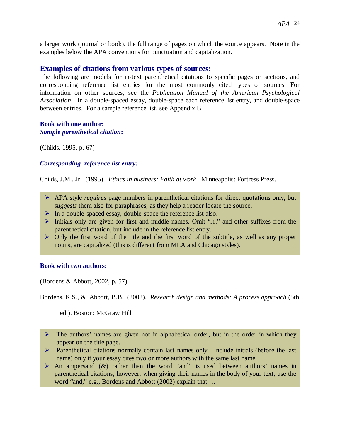a larger work (journal or book), the full range of pages on which the source appears. Note in the examples below the APA conventions for punctuation and capitalization.

## **Examples of citations from various types of sources:**

The following are models for in-text parenthetical citations to specific pages or sections, and corresponding reference list entries for the most commonly cited types of sources. For information on other sources, see the *Publication Manual of the American Psychological Association*. In a double-spaced essay, double-space each reference list entry, and double-space between entries. For a sample reference list, see Appendix B.

#### **Book with one author:** *Sample parenthetical citation***:**

(Childs, 1995, p. 67)

## *Corresponding reference list entry:*

Childs, J.M., Jr. (1995). *Ethics in business: Faith at work*. Minneapolis: Fortress Press.

- APA style *requires* page numbers in parenthetical citations for direct quotations only, but *suggests* them also for paraphrases, as they help a reader locate the source.
- $\triangleright$  In a double-spaced essay, double-space the reference list also.
- $\triangleright$  Initials only are given for first and middle names. Omit "Jr." and other suffixes from the parenthetical citation, but include in the reference list entry.
- $\triangleright$  Only the first word of the title and the first word of the subtitle, as well as any proper nouns, are capitalized (this is different from MLA and Chicago styles).

#### **Book with two authors:**

(Bordens & Abbott, 2002, p. 57)

Bordens, K.S., & Abbott, B.B. (2002). *Research design and methods: A process approach* (5th

ed.). Boston: McGraw Hill.

- $\triangleright$  The authors' names are given not in alphabetical order, but in the order in which they appear on the title page.
- Parenthetical citations normally contain last names only. Include initials (before the last name) only if your essay cites two or more authors with the same last name.
- $\triangleright$  An ampersand (&) rather than the word "and" is used between authors' names in parenthetical citations; however, when giving their names in the body of your text, use the word "and," e.g., Bordens and Abbott (2002) explain that …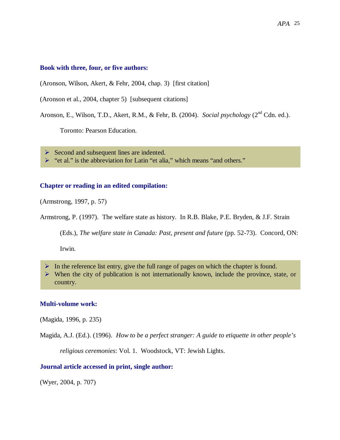#### **Book with three, four, or five authors:**

(Aronson, Wilson, Akert, & Fehr, 2004, chap. 3) [first citation]

(Aronson et al., 2004, chapter 5) [subsequent citations]

Aronson, E., Wilson, T.D., Akert, R.M., & Fehr, B. (2004). *Social psychology* (2<sup>nd</sup> Cdn. ed.).

Toronto: Pearson Education.

 $\triangleright$  Second and subsequent lines are indented.

► "et al." is the abbreviation for Latin "et alia," which means "and others."

#### **Chapter or reading in an edited compilation:**

(Armstrong, 1997, p. 57)

Armstrong, P. (1997). The welfare state as history. In R.B. Blake, P.E. Bryden, & J.F. Strain

(Eds.), *The welfare state in Canada: Past, present and future* (pp. 52-73). Concord, ON:

Irwin.

- $\triangleright$  In the reference list entry, give the full range of pages on which the chapter is found.
- $\triangleright$  When the city of publication is not internationally known, include the province, state, or country.

#### **Multi-volume work:**

(Magida, 1996, p. 235)

Magida, A.J. (Ed.). (1996). *How to be a perfect stranger: A guide to etiquette in other people's* 

*religious ceremonies*: Vol. 1. Woodstock, VT: Jewish Lights.

#### **Journal article accessed in print, single author:**

(Wyer, 2004, p. 707)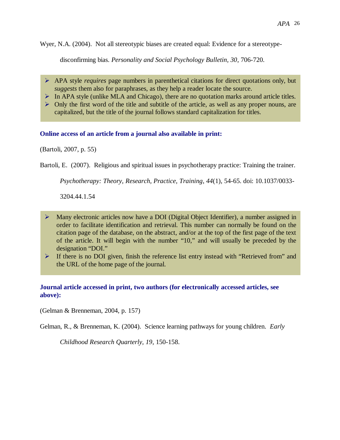Wyer, N.A. (2004). Not all stereotypic biases are created equal: Evidence for a stereotype-

disconfirming bias. *Personality and Social Psychology Bulletin, 30*, 706-720.

- APA style *requires* page numbers in parenthetical citations for direct quotations only, but *suggests* them also for paraphrases, as they help a reader locate the source.
- $\triangleright$  In APA style (unlike MLA and Chicago), there are no quotation marks around article titles.
- $\triangleright$  Only the first word of the title and subtitle of the article, as well as any proper nouns, are capitalized, but the title of the journal follows standard capitalization for titles.

### **Online access of an article from a journal also available in print:**

(Bartoli, 2007, p. 55)

Bartoli, E. (2007). Religious and spiritual issues in psychotherapy practice: Training the trainer.

*Psychotherapy: Theory, Research, Practice, Training*, *44*(1), 54-65. doi: 10.1037/0033-

3204.44.1.54

- $\triangleright$  Many electronic articles now have a DOI (Digital Object Identifier), a number assigned in order to facilitate identification and retrieval. This number can normally be found on the citation page of the database, on the abstract, and/or at the top of the first page of the text of the article. It will begin with the number "10," and will usually be preceded by the designation "DOI."
- If there is no DOI given, finish the reference list entry instead with "Retrieved from" and the URL of the home page of the journal.

## **Journal article accessed in print, two authors (for electronically accessed articles, see above):**

(Gelman & Brenneman, 2004, p. 157)

Gelman, R., & Brenneman, K. (2004). Science learning pathways for young children. *Early* 

*Childhood Research Quarterly, 19*, 150-158.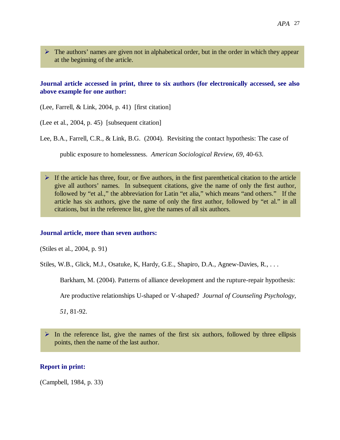$\triangleright$  The authors' names are given not in alphabetical order, but in the order in which they appear at the beginning of the article.

### **Journal article accessed in print, three to six authors (for electronically accessed, see also above example for one author:**

(Lee, Farrell, & Link, 2004, p. 41) [first citation]

(Lee et al., 2004, p. 45) [subsequent citation]

Lee, B.A., Farrell, C.R., & Link, B.G. (2004). Revisiting the contact hypothesis: The case of

public exposure to homelessness. *American Sociological Review, 69*, 40-63.

 $\triangleright$  If the article has three, four, or five authors, in the first parenthetical citation to the article give all authors' names. In subsequent citations, give the name of only the first author, followed by "et al.," the abbreviation for Latin "et alia," which means "and others." If the article has six authors, give the name of only the first author, followed by "et al." in all citations, but in the reference list, give the names of all six authors.

#### **Journal article, more than seven authors:**

(Stiles et al., 2004, p. 91)

Stiles, W.B., Glick, M.J., Osatuke, K, Hardy, G.E., Shapiro, D.A., Agnew-Davies, R., . . .

Barkham, M. (2004). Patterns of alliance development and the rupture-repair hypothesis:

Are productive relationships U-shaped or V-shaped? *Journal of Counseling Psychology,* 

*51*, 81-92.

 $\triangleright$  In the reference list, give the names of the first six authors, followed by three ellipsis points, then the name of the last author.

### **Report in print:**

(Campbell, 1984, p. 33)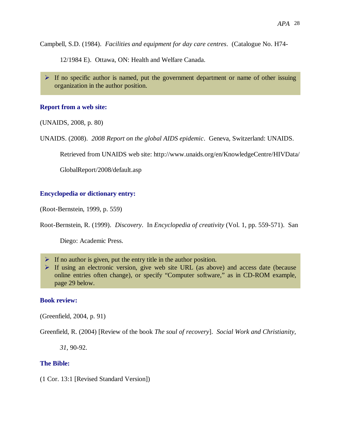Campbell, S.D. (1984). *Facilities and equipment for day care centres*. (Catalogue No. H74-

12/1984 E). Ottawa, ON: Health and Welfare Canada.

 $\triangleright$  If no specific author is named, put the government department or name of other issuing organization in the author position.

#### **Report from a web site:**

(UNAIDS, 2008, p. 80)

UNAIDS. (2008). *2008 Report on the global AIDS epidemic*. Geneva, Switzerland: UNAIDS.

Retrieved from UNAIDS web site: http://www.unaids.org/en/KnowledgeCentre/HIVData/

GlobalReport/2008/default.asp

#### **Encyclopedia or dictionary entry:**

(Root-Bernstein, 1999, p. 559)

Root-Bernstein, R. (1999). *Discovery*. In *Encyclopedia of creativity* (Vol. 1, pp. 559-571). San

Diego: Academic Press.

- $\triangleright$  If no author is given, put the entry title in the author position.
- $\triangleright$  If using an electronic version, give web site URL (as above) and access date (because online entries often change), or specify "Computer software," as in CD-ROM example, page 29 below.

#### **Book review:**

(Greenfield, 2004, p. 91)

Greenfield, R. (2004) [Review of the book *The soul of recovery*]. *Social Work and Christianity,* 

*31,* 90-92.

#### **The Bible:**

(1 Cor. 13:1 [Revised Standard Version])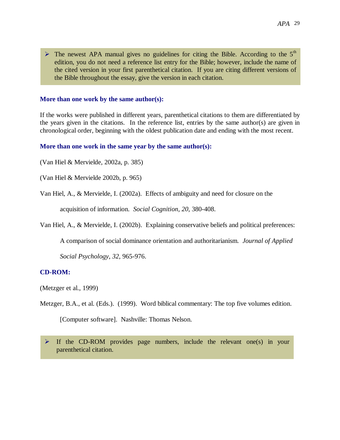$\triangleright$  The newest APA manual gives no guidelines for citing the Bible. According to the 5<sup>th</sup> edition, you do not need a reference list entry for the Bible; however, include the name of the cited version in your first parenthetical citation. If you are citing different versions of the Bible throughout the essay, give the version in each citation.

#### **More than one work by the same author(s):**

If the works were published in different years, parenthetical citations to them are differentiated by the years given in the citations. In the reference list, entries by the same author(s) are given in chronological order, beginning with the oldest publication date and ending with the most recent.

#### **More than one work in the same year by the same author(s):**

(Van Hiel & Mervielde, 2002a, p. 385)

(Van Hiel & Mervielde 2002b, p. 965)

Van Hiel, A., & Mervielde, I. (2002a). Effects of ambiguity and need for closure on the

acquisition of information. *Social Cognition*, *20,* 380-408.

Van Hiel, A., & Mervielde, I. (2002b). Explaining conservative beliefs and political preferences:

A comparison of social dominance orientation and authoritarianism. *Journal of Applied* 

*Social Psychology*, *32*, 965-976.

#### **CD-ROM:**

(Metzger et al., 1999)

Metzger, B.A., et al. (Eds.). (1999). Word biblical commentary: The top five volumes edition.

[Computer software]. Nashville: Thomas Nelson.

 $\triangleright$  If the CD-ROM provides page numbers, include the relevant one(s) in your parenthetical citation.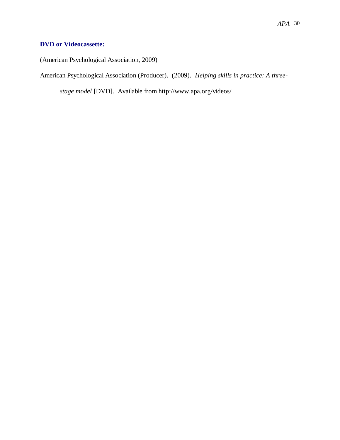## **DVD or Videocassette:**

(American Psychological Association, 2009)

American Psychological Association (Producer). (2009). *Helping skills in practice: A three-*

*stage model* [DVD]. Available from http://www.apa.org/videos/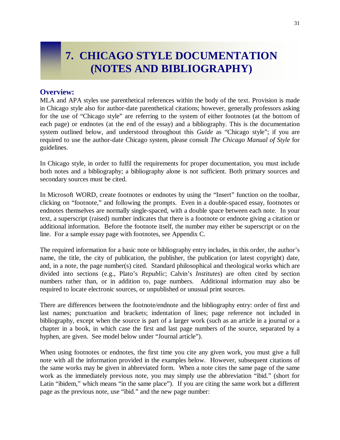## **7. CHICAGO STYLE DOCUMENTATION (NOTES AND BIBLIOGRAPHY)**

## **Overview:**

MLA and APA styles use parenthetical references within the body of the text. Provision is made in Chicago style also for author-date parenthetical citations; however, generally professors asking for the use of "Chicago style" are referring to the system of either footnotes (at the bottom of each page) or endnotes (at the end of the essay) and a bibliography. This is the documentation system outlined below, and understood throughout this *Guide* as "Chicago style"; if you are required to use the author-date Chicago system, please consult *The Chicago Manual of Style* for guidelines.

In Chicago style, in order to fulfil the requirements for proper documentation, you must include both notes and a bibliography; a bibliography alone is not sufficient. Both primary sources and secondary sources must be cited.

In Microsoft WORD, create footnotes or endnotes by using the "Insert" function on the toolbar, clicking on "footnote," and following the prompts. Even in a double-spaced essay, footnotes or endnotes themselves are normally single-spaced, with a double space between each note. In your text, a superscript (raised) number indicates that there is a footnote or endnote giving a citation or additional information. Before the footnote itself, the number may either be superscript or on the line. For a sample essay page with footnotes, see Appendix C.

The required information for a basic note or bibliography entry includes, in this order, the author's name, the title, the city of publication, the publisher, the publication (or latest copyright) date, and, in a note, the page number(s) cited. Standard philosophical and theological works which are divided into sections (e.g., Plato's *Republic*; Calvin's *Institutes*) are often cited by section numbers rather than, or in addition to, page numbers. Additional information may also be required to locate electronic sources, or unpublished or unusual print sources.

There are differences between the footnote/endnote and the bibliography entry: order of first and last names; punctuation and brackets; indentation of lines; page reference not included in bibliography, except when the source is part of a larger work (such as an article in a journal or a chapter in a book, in which case the first and last page numbers of the source, separated by a hyphen, are given. See model below under "Journal article").

When using footnotes or endnotes, the first time you cite any given work, you must give a full note with all the information provided in the examples below. However, subsequent citations of the same works may be given in abbreviated form. When a note cites the same page of the same work as the immediately previous note, you may simply use the abbreviation "ibid." (short for Latin "ibidem," which means "in the same place"). If you are citing the same work but a different page as the previous note, use "ibid." and the new page number: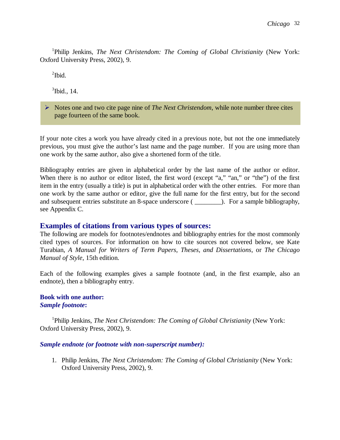<sup>1</sup>Philip Jenkins, *The Next Christendom: The Coming of Global Christianity* (New York: Oxford University Press, 2002), 9.

 $\mathrm{^{2}Ibid.}$ 

 $3$ Ibid., 14.

 Notes one and two cite page nine of *The Next Christendom*, while note number three cites page fourteen of the same book.

If your note cites a work you have already cited in a previous note, but not the one immediately previous, you must give the author's last name and the page number. If you are using more than one work by the same author, also give a shortened form of the title.

Bibliography entries are given in alphabetical order by the last name of the author or editor. When there is no author or editor listed, the first word (except "a," "an," or "the") of the first item in the entry (usually a title) is put in alphabetical order with the other entries. For more than one work by the same author or editor, give the full name for the first entry, but for the second and subsequent entries substitute an 8-space underscore ( \_\_\_\_\_\_\_\_\_). For a sample bibliography, see Appendix C.

## **Examples of citations from various types of sources:**

The following are models for footnotes/endnotes and bibliography entries for the most commonly cited types of sources. For information on how to cite sources not covered below, see Kate Turabian, *A Manual for Writers of Term Papers, Theses, and Dissertations*, or *The Chicago Manual of Style*, 15th edition.

Each of the following examples gives a sample footnote (and, in the first example, also an endnote), then a bibliography entry.

#### **Book with one author:** *Sample footnote***:**

<sup>1</sup>Philip Jenkins, *The Next Christendom: The Coming of Global Christianity* (New York: Oxford University Press, 2002), 9.

#### *Sample endnote (or footnote with non-superscript number):*

1. Philip Jenkins, *The Next Christendom: The Coming of Global Christianity* (New York: Oxford University Press, 2002), 9.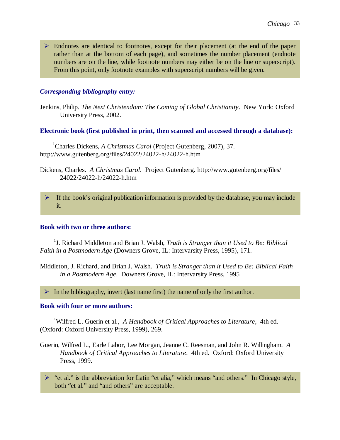$\triangleright$  Endnotes are identical to footnotes, except for their placement (at the end of the paper rather than at the bottom of each page), and sometimes the number placement (endnote numbers are on the line, while footnote numbers may either be on the line or superscript). From this point, only footnote examples with superscript numbers will be given.

## *Corresponding bibliography entry:*

Jenkins, Philip. *The Next Christendom: The Coming of Global Christianity*. New York: Oxford University Press, 2002.

#### **Electronic book (first published in print, then scanned and accessed through a database):**

<sup>1</sup>Charles Dickens, *A Christmas Carol* (Project Gutenberg, 2007), 37. http://www.gutenberg.org/files/24022/24022-h/24022-h.htm

Dickens, Charles. *A Christmas Carol*. Project Gutenberg. http://www.gutenberg.org/files/ 24022/24022-h/24022-h.htm

 $\triangleright$  If the book's original publication information is provided by the database, you may include it.

#### **Book with two or three authors:**

<sup>1</sup>J. Richard Middleton and Brian J. Walsh, *Truth is Stranger than it Used to Be: Biblical Faith in a Postmodern Age* (Downers Grove, IL: Intervarsity Press, 1995), 171.

Middleton, J. Richard, and Brian J. Walsh. *Truth is Stranger than it Used to Be: Biblical Faith in a Postmodern Age*. Downers Grove, IL: Intervarsity Press, 1995

 $\triangleright$  In the bibliography, invert (last name first) the name of only the first author.

#### **Book with four or more authors:**

<sup>1</sup>Wilfred L. Guerin et al., *A Handbook of Critical Approaches to Literature*, 4th ed. (Oxford: Oxford University Press, 1999), 269.

- Guerin, Wilfred L., Earle Labor, Lee Morgan, Jeanne C. Reesman, and John R. Willingham. *A Handbook of Critical Approaches to Literature*. 4th ed. Oxford: Oxford University Press, 1999.
	- $\triangleright$  "et al." is the abbreviation for Latin "et alia," which means "and others." In Chicago style, both "et al." and "and others" are acceptable.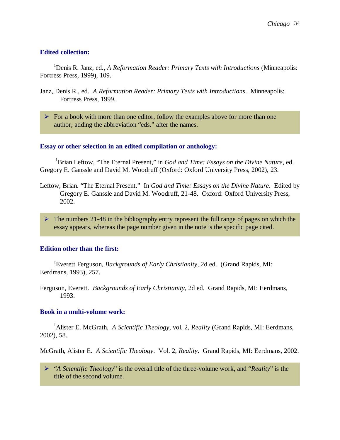#### **Edited collection:**

<sup>1</sup>Denis R. Janz, ed., *A Reformation Reader: Primary Texts with Introductions* (Minneapolis: Fortress Press, 1999), 109.

- Janz, Denis R., ed. *A Reformation Reader: Primary Texts with Introductions*. Minneapolis: Fortress Press, 1999.
	- $\triangleright$  For a book with more than one editor, follow the examples above for more than one author, adding the abbreviation "eds." after the names.

#### **Essay or other selection in an edited compilation or anthology:**

<sup>1</sup>Brian Leftow, "The Eternal Present," in *God and Time: Essays on the Divine Nature*, ed. Gregory E. Ganssle and David M. Woodruff (Oxford: Oxford University Press, 2002), 23.

- Leftow, Brian. "The Eternal Present." In *God and Time: Essays on the Divine Nature*. Edited by Gregory E. Ganssle and David M. Woodruff, 21-48. Oxford: Oxford University Press, 2002.
- $\triangleright$  The numbers 21-48 in the bibliography entry represent the full range of pages on which the essay appears, whereas the page number given in the note is the specific page cited.

### **Edition other than the first:**

<sup>1</sup> Everett Ferguson, *Backgrounds of Early Christianity*, 2d ed. (Grand Rapids, MI: Eerdmans, 1993), 257.

Ferguson, Everett. *Backgrounds of Early Christianity*, 2d ed. Grand Rapids, MI: Eerdmans, 1993.

#### **Book in a multi-volume work:**

<sup>1</sup> Alister E. McGrath, *A Scientific Theology*, vol. 2, *Reality* (Grand Rapids, MI: Eerdmans, 2002), 58.

McGrath, Alister E. *A Scientific Theology*. Vol. 2, *Reality*. Grand Rapids, MI: Eerdmans, 2002.

 "*A Scientific Theology*" is the overall title of the three-volume work, and "*Reality*" is the title of the second volume.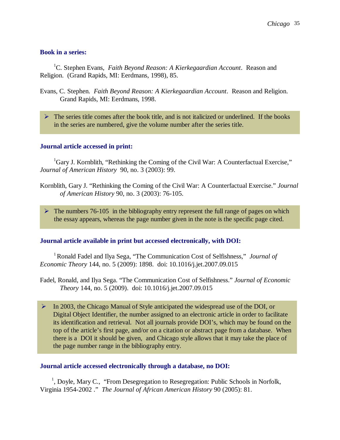### **Book in a series:**

<sup>1</sup>C. Stephen Evans, *Faith Beyond Reason: A Kierkegaardian Account*. Reason and Religion. (Grand Rapids, MI: Eerdmans, 1998), 85.

- Evans, C. Stephen. *Faith Beyond Reason: A Kierkegaardian Account*. Reason and Religion. Grand Rapids, MI: Eerdmans, 1998.
	- $\triangleright$  The series title comes after the book title, and is not italicized or underlined. If the books in the series are numbered, give the volume number after the series title.

#### **Journal article accessed in print:**

 ${}^{1}$ Gary J. Kornblith, "Rethinking the Coming of the Civil War: A Counterfactual Exercise," *Journal of American History* 90, no. 3 (2003): 99.

- Kornblith, Gary J. "Rethinking the Coming of the Civil War: A Counterfactual Exercise." *Journal of American History* 90, no. 3 (2003): 76-105.
	- $\triangleright$  The numbers 76-105 in the bibliography entry represent the full range of pages on which the essay appears, whereas the page number given in the note is the specific page cited.

#### **Journal article available in print but accessed electronically, with DOI:**

<sup>1</sup>Ronald Fadel and Ilya Sega, "The Communication Cost of Selfishness," *Journal of Economic Theory* 144, no. 5 (2009): 1898. doi: 10.1016/j.jet.2007.09.015

Fadel, Ronald, and Ilya Sega. "The Communication Cost of Selfishness." *Journal of Economic Theory* 144, no. 5 (2009). doi: 10.1016/j.jet.2007.09.015

 $\triangleright$  In 2003, the Chicago Manual of Style anticipated the widespread use of the DOI, or Digital Object Identifier, the number assigned to an electronic article in order to facilitate its identification and retrieval. Not all journals provide DOI's, which may be found on the top of the article's first page, and/or on a citation or abstract page from a database. When there is a DOI it should be given, and Chicago style allows that it may take the place of the page number range in the bibliography entry.

#### **Journal article accessed electronically through a database, no DOI:**

<sup>1</sup>, Doyle, Mary C., "From Desegregation to Resegregation: Public Schools in Norfolk, Virginia 1954-2002 ." *The Journal of African American History* 90 (2005): 81.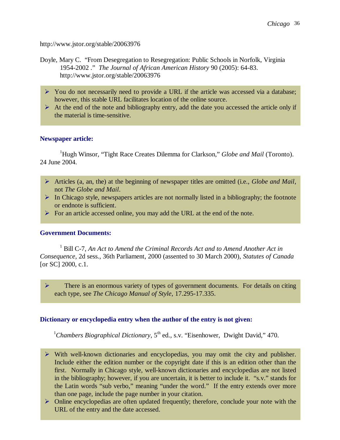http://www.jstor.org/stable/20063976

- Doyle, Mary C. "From Desegregation to Resegregation: Public Schools in Norfolk, Virginia 1954-2002 ." *The Journal of African American History* 90 (2005): 64-83. http://www.jstor.org/stable/20063976
	- $\triangleright$  You do not necessarily need to provide a URL if the article was accessed via a database; however, this stable URL facilitates location of the online source.
	- $\triangleright$  At the end of the note and bibliography entry, add the date you accessed the article only if the material is time-sensitive.

#### **Newspaper article:**

<sup>1</sup>Hugh Winsor, "Tight Race Creates Dilemma for Clarkson," *Globe and Mail* (Toronto). 24 June 2004.

- Articles (a, an, the) at the beginning of newspaper titles are omitted (i.e., *Globe and Mail*, not *The Globe and Mail*.
- $\triangleright$  In Chicago style, newspapers articles are not normally listed in a bibliography; the footnote or endnote is sufficient.
- $\triangleright$  For an article accessed online, you may add the URL at the end of the note.

#### **Government Documents:**

<sup>1</sup> Bill C-7, An Act to Amend the Criminal Records Act and to Amend Another Act in *Consequence*, 2d sess., 36th Parliament, 2000 (assented to 30 March 2000), *Statutes of Canada* [or SC] 2000, c.1.

 $\triangleright$  There is an enormous variety of types of government documents. For details on citing each type, see *The Chicago Manual of Style*, 17.295-17.335.

#### **Dictionary or encyclopedia entry when the author of the entry is not given:**

<sup>1</sup>Chambers Biographical Dictionary,  $5<sup>th</sup>$  ed., s.v. "Eisenhower, Dwight David," 470.

- With well-known dictionaries and encyclopedias, you may omit the city and publisher. Include either the edition number or the copyright date if this is an edition other than the first. Normally in Chicago style, well-known dictionaries and encyclopedias are not listed in the bibliography; however, if you are uncertain, it is better to include it. "s.v." stands for the Latin words "sub verbo," meaning "under the word." If the entry extends over more than one page, include the page number in your citation.
- Online encyclopedias are often updated frequently; therefore, conclude your note with the URL of the entry and the date accessed.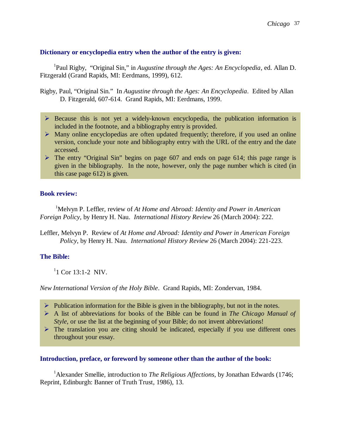### **Dictionary or encyclopedia entry when the author of the entry is given:**

<sup>1</sup>Paul Rigby, "Original Sin," in *Augustine through the Ages: An Encyclopedia*, ed. Allan D. Fitzgerald (Grand Rapids, MI: Eerdmans, 1999), 612.

Rigby, Paul, "Original Sin." In *Augustine through the Ages: An Encyclopedia*. Edited by Allan D. Fitzgerald, 607-614. Grand Rapids, MI: Eerdmans, 1999.

- $\triangleright$  Because this is not yet a widely-known encyclopedia, the publication information is included in the footnote, and a bibliography entry is provided.
- $\triangleright$  Many online encyclopedias are often updated frequently; therefore, if you used an online version, conclude your note and bibliography entry with the URL of the entry and the date accessed.
- $\triangleright$  The entry "Original Sin" begins on page 607 and ends on page 614; this page range is given in the bibliography. In the note, however, only the page number which is cited (in this case page 612) is given.

#### **Book review:**

<sup>1</sup>Melvyn P. Leffler, review of *At Home and Abroad: Identity and Power in American Foreign Policy*, by Henry H. Nau. *International History Review* 26 (March 2004): 222.

Leffler, Melvyn P. Review of *At Home and Abroad: Identity and Power in American Foreign Policy*, by Henry H. Nau. *International History Review* 26 (March 2004): 221-223.

## **The Bible:**

 $1$  Cor 13:1-2 NIV.

*New International Version of the Holy Bible*. Grand Rapids, MI: Zondervan, 1984.

- $\triangleright$  Publication information for the Bible is given in the bibliography, but not in the notes.
- A list of abbreviations for books of the Bible can be found in *The Chicago Manual of Style*, or use the list at the beginning of your Bible; do not invent abbreviations!
- $\triangleright$  The translation you are citing should be indicated, especially if you use different ones throughout your essay.

#### **Introduction, preface, or foreword by someone other than the author of the book:**

<sup>1</sup> Alexander Smellie, introduction to *The Religious Affections*, by Jonathan Edwards (1746; Reprint, Edinburgh: Banner of Truth Trust, 1986), 13.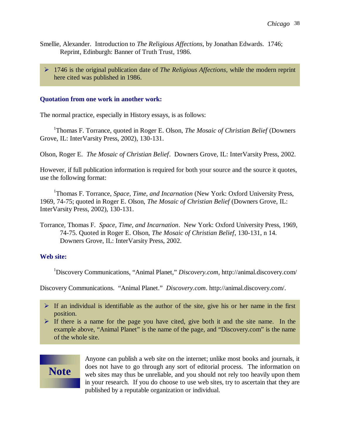- Smellie, Alexander. Introduction to *The Religious Affections*, by Jonathan Edwards. 1746; Reprint, Edinburgh: Banner of Truth Trust, 1986.
	- 1746 is the original publication date of *The Religious Affections*, while the modern reprint here cited was published in 1986.

#### **Quotation from one work in another work:**

The normal practice, especially in History essays, is as follows:

<sup>1</sup>Thomas F. Torrance, quoted in Roger E. Olson, *The Mosaic of Christian Belief* (Downers Grove, IL: InterVarsity Press, 2002), 130-131.

Olson, Roger E. *The Mosaic of Christian Belief*. Downers Grove, IL: InterVarsity Press, 2002.

However, if full publication information is required for both your source and the source it quotes, use the following format:

<sup>1</sup>Thomas F. Torrance, Space, Time, and Incarnation (New York: Oxford University Press, 1969, 74-75; quoted in Roger E. Olson, *The Mosaic of Christian Belief* (Downers Grove, IL: InterVarsity Press, 2002), 130-131.

Torrance, Thomas F. *Space, Time, and Incarnation*. New York: Oxford University Press, 1969, 74-75. Quoted in Roger E. Olson, *The Mosaic of Christian Belief*, 130-131, n 14. Downers Grove, IL: InterVarsity Press, 2002.

## **Web site:**

<sup>1</sup>Discovery Communications, "Animal Planet," *Discovery.com*, http://animal.discovery.com/

Discovery Communications. "Animal Planet." *Discovery.com*. http://animal.discovery.com/.

 $\triangleright$  If an individual is identifiable as the author of the site, give his or her name in the first position.

If there is a name for the page you have cited, give both it and the site name. In the example above, "Animal Planet" is the name of the page, and "Discovery.com" is the name of the whole site.



Anyone can publish a web site on the internet; unlike most books and journals, it does not have to go through any sort of editorial process. The information on web sites may thus be unreliable, and you should not rely too heavily upon them in your research. If you do choose to use web sites, try to ascertain that they are published by a reputable organization or individual.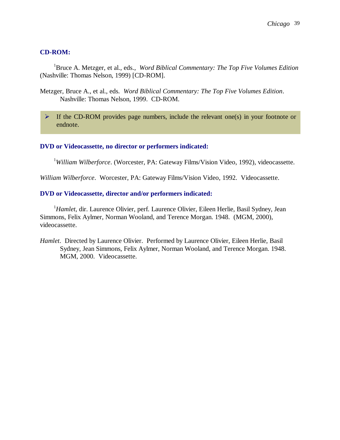#### **CD-ROM:**

<sup>1</sup>Bruce A. Metzger, et al., eds., *Word Biblical Commentary: The Top Five Volumes Edition* (Nashville: Thomas Nelson, 1999) [CD-ROM].

- Metzger, Bruce A., et al., eds. *Word Biblical Commentary: The Top Five Volumes Edition*. Nashville: Thomas Nelson, 1999. CD-ROM.
	- $\triangleright$  If the CD-ROM provides page numbers, include the relevant one(s) in your footnote or endnote.

#### **DVD or Videocassette, no director or performers indicated:**

<sup>1</sup>William Wilberforce. (Worcester, PA: Gateway Films/Vision Video, 1992), videocassette.

*William Wilberforce*. Worcester, PA: Gateway Films/Vision Video, 1992. Videocassette.

#### **DVD or Videocassette, director and/or performers indicated:**

<sup>1</sup>*Hamlet*, dir. Laurence Olivier, perf. Laurence Olivier, Eileen Herlie, Basil Sydney, Jean Simmons, Felix Aylmer, Norman Wooland, and Terence Morgan. 1948. (MGM, 2000), videocassette.

*Hamlet*. Directed by Laurence Olivier. Performed by Laurence Olivier, Eileen Herlie, Basil Sydney, Jean Simmons, Felix Aylmer, Norman Wooland, and Terence Morgan. 1948. MGM, 2000. Videocassette.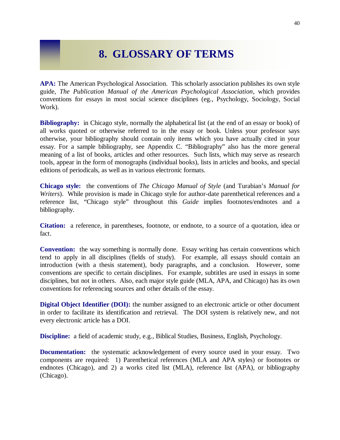## **8. GLOSSARY OF TERMS**

**APA:** The American Psychological Association. This scholarly association publishes its own style guide, *The Publication Manual of the American Psychological Association*, which provides conventions for essays in most social science disciplines (eg., Psychology, Sociology, Social Work).

**Bibliography:** in Chicago style, normally the alphabetical list (at the end of an essay or book) of all works quoted or otherwise referred to in the essay or book. Unless your professor says otherwise, your bibliography should contain only items which you have actually cited in your essay. For a sample bibliography, see Appendix C. "Bibliography" also has the more general meaning of a list of books, articles and other resources. Such lists, which may serve as research tools, appear in the form of monographs (individual books), lists in articles and books, and special editions of periodicals, as well as in various electronic formats.

**Chicago style:** the conventions of *The Chicago Manual of Style* (and Turabian's *Manual for Writers*). While provision is made in Chicago style for author-date parenthetical references and a reference list, "Chicago style" throughout this *Guide* implies footnotes/endnotes and a bibliography.

**Citation:** a reference, in parentheses, footnote, or endnote, to a source of a quotation, idea or fact.

**Convention:** the way something is normally done. Essay writing has certain conventions which tend to apply in all disciplines (fields of study). For example, all essays should contain an introduction (with a thesis statement), body paragraphs, and a conclusion. However, some conventions are specific to certain disciplines. For example, subtitles are used in essays in some disciplines, but not in others. Also, each major style guide (MLA, APA, and Chicago) has its own conventions for referencing sources and other details of the essay.

**Digital Object Identifier (DOI):** the number assigned to an electronic article or other document in order to facilitate its identification and retrieval. The DOI system is relatively new, and not every electronic article has a DOI.

**Discipline:** a field of academic study, e.g., Biblical Studies, Business, English, Psychology.

**Documentation:** the systematic acknowledgement of every source used in your essay. Two components are required: 1) Parenthetical references (MLA and APA styles) or footnotes or endnotes (Chicago), and 2) a works cited list (MLA), reference list (APA), or bibliography (Chicago).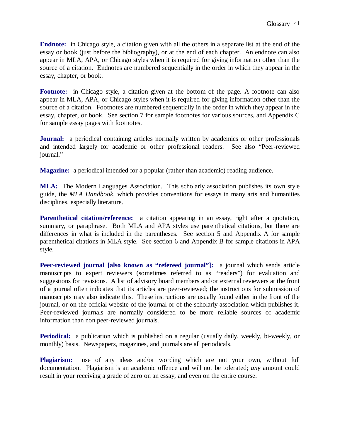**Endnote:** in Chicago style, a citation given with all the others in a separate list at the end of the essay or book (just before the bibliography), or at the end of each chapter. An endnote can also appear in MLA, APA, or Chicago styles when it is required for giving information other than the source of a citation. Endnotes are numbered sequentially in the order in which they appear in the essay, chapter, or book.

**Footnote:** in Chicago style, a citation given at the bottom of the page. A footnote can also appear in MLA, APA, or Chicago styles when it is required for giving information other than the source of a citation. Footnotes are numbered sequentially in the order in which they appear in the essay, chapter, or book. See section 7 for sample footnotes for various sources, and Appendix C for sample essay pages with footnotes.

**Journal:** a periodical containing articles normally written by academics or other professionals and intended largely for academic or other professional readers. See also "Peer-reviewed journal."

**Magazine:** a periodical intended for a popular (rather than academic) reading audience.

**MLA:** The Modern Languages Association. This scholarly association publishes its own style guide, the *MLA Handbook*, which provides conventions for essays in many arts and humanities disciplines, especially literature.

**Parenthetical citation/reference:** a citation appearing in an essay, right after a quotation, summary, or paraphrase. Both MLA and APA styles use parenthetical citations, but there are differences in what is included in the parentheses. See section 5 and Appendix A for sample parenthetical citations in MLA style. See section 6 and Appendix B for sample citations in APA style.

**Peer-reviewed journal [also known as "refereed journal"]:** a journal which sends article manuscripts to expert reviewers (sometimes referred to as "readers") for evaluation and suggestions for revisions. A list of advisory board members and/or external reviewers at the front of a journal often indicates that its articles are peer-reviewed; the instructions for submission of manuscripts may also indicate this. These instructions are usually found either in the front of the journal, or on the official website of the journal or of the scholarly association which publishes it. Peer-reviewed journals are normally considered to be more reliable sources of academic information than non peer-reviewed journals.

**Periodical:** a publication which is published on a regular (usually daily, weekly, bi-weekly, or monthly) basis. Newspapers, magazines, and journals are all periodicals.

**Plagiarism:** use of any ideas and/or wording which are not your own, without full documentation. Plagiarism is an academic offence and will not be tolerated; *any* amount could result in your receiving a grade of zero on an essay, and even on the entire course.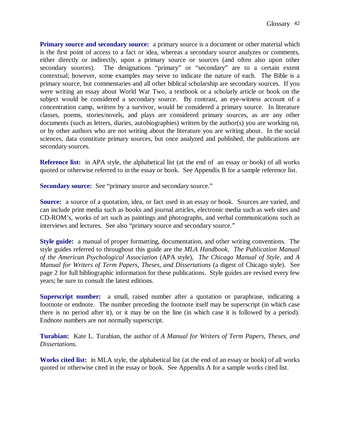**Primary source and secondary source:** a primary source is a document or other material which is the first point of access to a fact or idea, whereas a secondary source analyzes or comments, either directly or indirectly, upon a primary source or sources (and often also upon other secondary sources). The designations "primary" or "secondary" are to a certain extent contextual; however, some examples may serve to indicate the nature of each. The Bible is a primary source, but commentaries and all other biblical scholarship are secondary sources. If you were writing an essay about World War Two, a textbook or a scholarly article or book on the subject would be considered a secondary source. By contrast, an eye-witness account of a concentration camp, written by a survivor, would be considered a primary source. In literature classes, poems, stories/novels, and plays are considered primary sources, as are any other documents (such as letters, diaries, autobiographies) written by the author(s) you are working on, or by other authors who are not writing about the literature you are writing about. In the social sciences, data constitute primary sources, but once analyzed and published, the publications are secondary sources.

**Reference list:** in APA style, the alphabetical list (at the end of an essay or book) of all works quoted or otherwise referred to in the essay or book. See Appendix B for a sample reference list.

**Secondary source:** See "primary source and secondary source."

**Source:** a source of a quotation, idea, or fact used in an essay or book. Sources are varied, and can include print media such as books and journal articles, electronic media such as web sites and CD-ROM's, works of art such as paintings and photographs, and verbal communications such as interviews and lectures. See also "primary source and secondary source."

**Style guide:** a manual of proper formatting, documentation, and other writing conventions. The style guides referred to throughout this guide are the *MLA Handbook*, *The Publication Manual of the American Psychological Association* (APA style), *The Chicago Manual of Style*, and *A Manual for Writers of Term Papers, Theses, and Dissertations* (a digest of Chicago style). See page 2 for full bibliographic information for these publications. Style guides are revised every few years; be sure to consult the latest editions.

**Superscript number:** a small, raised number after a quotation or paraphrase, indicating a footnote or endnote. The number preceding the footnote itself may be superscript (in which case there is no period after it), or it may be on the line (in which case it is followed by a period). Endnote numbers are not normally superscript.

**Turabian:** Kate L. Turabian, the author of *A Manual for Writers of Term Papers, Theses, and Dissertations.* 

**Works cited list:** in MLA style, the alphabetical list (at the end of an essay or book) of all works quoted or otherwise cited in the essay or book. See Appendix A for a sample works cited list.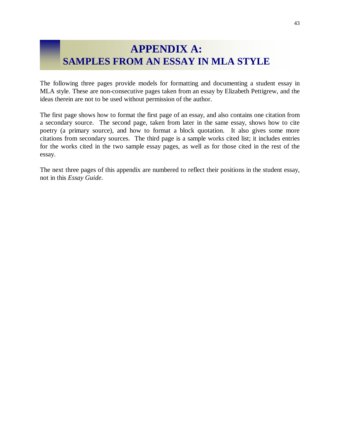## **APPENDIX A: SAMPLES FROM AN ESSAY IN MLA STYLE**

The following three pages provide models for formatting and documenting a student essay in MLA style. These are non-consecutive pages taken from an essay by Elizabeth Pettigrew, and the ideas therein are not to be used without permission of the author.

The first page shows how to format the first page of an essay, and also contains one citation from a secondary source. The second page, taken from later in the same essay, shows how to cite poetry (a primary source), and how to format a block quotation. It also gives some more citations from secondary sources. The third page is a sample works cited list; it includes entries for the works cited in the two sample essay pages, as well as for those cited in the rest of the essay.

The next three pages of this appendix are numbered to reflect their positions in the student essay, not in this *Essay Guide*.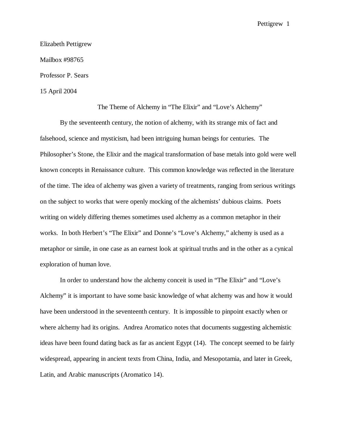Pettigrew 1

Elizabeth Pettigrew Mailbox #98765 Professor P. Sears 15 April 2004

The Theme of Alchemy in "The Elixir" and "Love's Alchemy"

By the seventeenth century, the notion of alchemy, with its strange mix of fact and falsehood, science and mysticism, had been intriguing human beings for centuries. The Philosopher's Stone, the Elixir and the magical transformation of base metals into gold were well known concepts in Renaissance culture. This common knowledge was reflected in the literature of the time. The idea of alchemy was given a variety of treatments, ranging from serious writings on the subject to works that were openly mocking of the alchemists' dubious claims. Poets writing on widely differing themes sometimes used alchemy as a common metaphor in their works. In both Herbert's "The Elixir" and Donne's "Love's Alchemy," alchemy is used as a metaphor or simile, in one case as an earnest look at spiritual truths and in the other as a cynical exploration of human love.

In order to understand how the alchemy conceit is used in "The Elixir" and "Love's Alchemy" it is important to have some basic knowledge of what alchemy was and how it would have been understood in the seventeenth century. It is impossible to pinpoint exactly when or where alchemy had its origins. Andrea Aromatico notes that documents suggesting alchemistic ideas have been found dating back as far as ancient Egypt (14). The concept seemed to be fairly widespread, appearing in ancient texts from China, India, and Mesopotamia, and later in Greek, Latin, and Arabic manuscripts (Aromatico 14).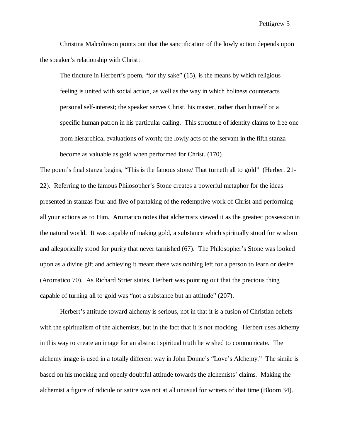Pettigrew 5

Christina Malcolmson points out that the sanctification of the lowly action depends upon the speaker's relationship with Christ:

The tincture in Herbert's poem, "for thy sake" (15), is the means by which religious feeling is united with social action, as well as the way in which holiness counteracts personal self-interest; the speaker serves Christ, his master, rather than himself or a specific human patron in his particular calling. This structure of identity claims to free one from hierarchical evaluations of worth; the lowly acts of the servant in the fifth stanza become as valuable as gold when performed for Christ. (170)

The poem's final stanza begins, "This is the famous stone/ That turneth all to gold" (Herbert 21- 22). Referring to the famous Philosopher's Stone creates a powerful metaphor for the ideas presented in stanzas four and five of partaking of the redemptive work of Christ and performing all your actions as to Him. Aromatico notes that alchemists viewed it as the greatest possession in the natural world. It was capable of making gold, a substance which spiritually stood for wisdom and allegorically stood for purity that never tarnished (67). The Philosopher's Stone was looked upon as a divine gift and achieving it meant there was nothing left for a person to learn or desire (Aromatico 70). As Richard Strier states, Herbert was pointing out that the precious thing capable of turning all to gold was "not a substance but an attitude" (207).

Herbert's attitude toward alchemy is serious, not in that it is a fusion of Christian beliefs with the spiritualism of the alchemists, but in the fact that it is not mocking. Herbert uses alchemy in this way to create an image for an abstract spiritual truth he wished to communicate. The alchemy image is used in a totally different way in John Donne's "Love's Alchemy." The simile is based on his mocking and openly doubtful attitude towards the alchemists' claims. Making the alchemist a figure of ridicule or satire was not at all unusual for writers of that time (Bloom 34).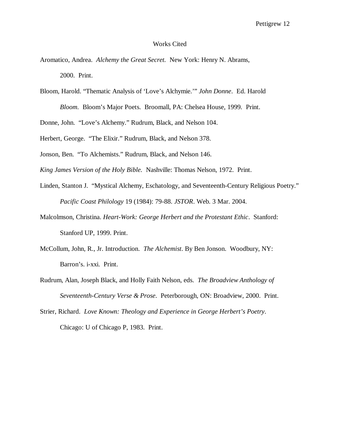#### Works Cited

- Aromatico, Andrea. *Alchemy the Great Secret.* New York: Henry N. Abrams, 2000. Print.
- Bloom, Harold. "Thematic Analysis of 'Love's Alchymie.'" *John Donne*. Ed. Harold

*Bloom.* Bloom's Major Poets.Broomall, PA: Chelsea House, 1999*.* Print.

Donne, John. "Love's Alchemy." Rudrum, Black, and Nelson 104.

Herbert, George. "The Elixir." Rudrum, Black, and Nelson 378.

Jonson, Ben. "To Alchemists." Rudrum, Black, and Nelson 146.

*King James Version of the Holy Bible.* Nashville: Thomas Nelson, 1972. Print.

- Linden, Stanton J. "Mystical Alchemy, Eschatology, and Seventeenth-Century Religious Poetry." *Pacific Coast Philology* 19 (1984): 79-88. *JSTOR*. Web. 3 Mar. 2004.
- Malcolmson, Christina. *Heart-Work: George Herbert and the Protestant Ethic*. Stanford: Stanford UP, 1999. Print.
- McCollum, John, R., Jr. Introduction. *The Alchemist*. By Ben Jonson. Woodbury, NY: Barron's. i-xxi. Print.
- Rudrum, Alan, Joseph Black, and Holly Faith Nelson, eds. *The Broadview Anthology of Seventeenth-Century Verse & Prose*. Peterborough, ON: Broadview, 2000. Print.
- Strier, Richard. *Love Known: Theology and Experience in George Herbert's Poetry*. Chicago: U of Chicago P, 1983. Print.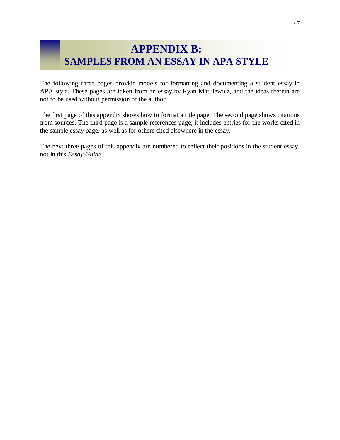## **APPENDIX B: SAMPLES FROM AN ESSAY IN APA STYLE**

The following three pages provide models for formatting and documenting a student essay in APA style. These pages are taken from an essay by Ryan Matulewicz, and the ideas therein are not to be used without permission of the author.

The first page of this appendix shows how to format a title page. The second page shows citations from sources. The third page is a sample references page; it includes entries for the works cited in the sample essay page, as well as for others cited elsewhere in the essay.

The next three pages of this appendix are numbered to reflect their positions in the student essay, not in this *Essay Guide*.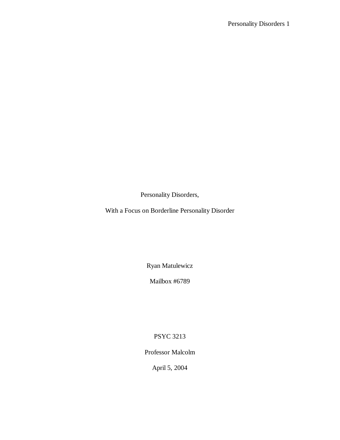Personality Disorders,

With a Focus on Borderline Personality Disorder

Ryan Matulewicz

Mailbox #6789

PSYC 3213

Professor Malcolm

April 5, 2004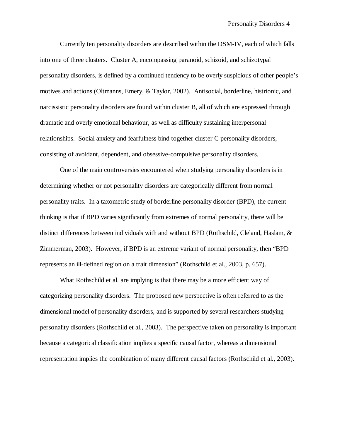Currently ten personality disorders are described within the DSM-IV, each of which falls into one of three clusters. Cluster A, encompassing paranoid, schizoid, and schizotypal personality disorders, is defined by a continued tendency to be overly suspicious of other people's motives and actions (Oltmanns, Emery, & Taylor, 2002). Antisocial, borderline, histrionic, and narcissistic personality disorders are found within cluster B, all of which are expressed through dramatic and overly emotional behaviour, as well as difficulty sustaining interpersonal relationships. Social anxiety and fearfulness bind together cluster C personality disorders, consisting of avoidant, dependent, and obsessive-compulsive personality disorders.

One of the main controversies encountered when studying personality disorders is in determining whether or not personality disorders are categorically different from normal personality traits. In a taxometric study of borderline personality disorder (BPD), the current thinking is that if BPD varies significantly from extremes of normal personality, there will be distinct differences between individuals with and without BPD (Rothschild, Cleland, Haslam, & Zimmerman, 2003). However, if BPD is an extreme variant of normal personality, then "BPD represents an ill-defined region on a trait dimension" (Rothschild et al., 2003, p. 657).

What Rothschild et al. are implying is that there may be a more efficient way of categorizing personality disorders. The proposed new perspective is often referred to as the dimensional model of personality disorders, and is supported by several researchers studying personality disorders (Rothschild et al., 2003). The perspective taken on personality is important because a categorical classification implies a specific causal factor, whereas a dimensional representation implies the combination of many different causal factors (Rothschild et al., 2003).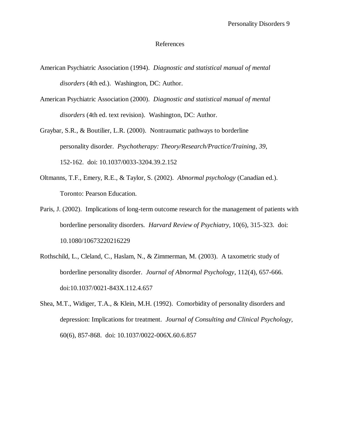#### References

- American Psychiatric Association (1994). *Diagnostic and statistical manual of mental disorders* (4th ed.). Washington, DC: Author.
- American Psychiatric Association (2000). *Diagnostic and statistical manual of mental disorders* (4th ed. text revision). Washington, DC: Author.
- Graybar, S.R., & Boutilier, L.R. (2000). Nontraumatic pathways to borderline personality disorder. *Psychotherapy: Theory/Research/Practice/Training*, *39*, 152-162. doi: 10.1037/0033-3204.39.2.152
- Oltmanns, T.F., Emery, R.E., & Taylor, S. (2002). *Abnormal psychology* (Canadian ed.). Toronto: Pearson Education.
- Paris, J. (2002). Implications of long-term outcome research for the management of patients with borderline personality disorders. *Harvard Review of Psychiatry*, 10(6), 315-323. doi: 10.1080/10673220216229
- Rothschild, L., Cleland, C., Haslam, N., & Zimmerman, M. (2003). A taxometric study of borderline personality disorder. *Journal of Abnormal Psychology*, 112(4), 657-666. doi:10.1037/0021-843X.112.4.657
- Shea, M.T., Widiger, T.A., & Klein, M.H. (1992). Comorbidity of personality disorders and depression: Implications for treatment. *Journal of Consulting and Clinical Psychology,*  60(6), 857-868. doi: 10.1037/0022-006X.60.6.857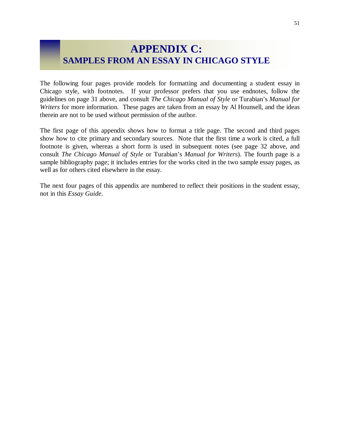## **APPENDIX C: SAMPLES FROM AN ESSAY IN CHICAGO STYLE**

The following four pages provide models for formatting and documenting a student essay in Chicago style, with footnotes. If your professor prefers that you use endnotes, follow the guidelines on page 31 above, and consult *The Chicago Manual of Style* or Turabian's *Manual for Writers* for more information. These pages are taken from an essay by Al Hounsell, and the ideas therein are not to be used without permission of the author.

The first page of this appendix shows how to format a title page. The second and third pages show how to cite primary and secondary sources. Note that the first time a work is cited, a full footnote is given, whereas a short form is used in subsequent notes (see page 32 above, and consult *The Chicago Manual of Style* or Turabian's *Manual for Writers*). The fourth page is a sample bibliography page; it includes entries for the works cited in the two sample essay pages, as well as for others cited elsewhere in the essay.

The next four pages of this appendix are numbered to reflect their positions in the student essay, not in this *Essay Guide*.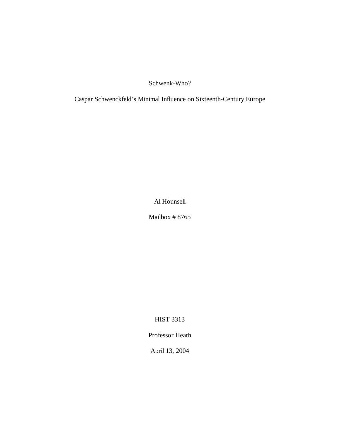Schwenk-Who?

Caspar Schwenckfeld's Minimal Influence on Sixteenth-Century Europe

Al Hounsell

Mailbox # 8765

HIST 3313

Professor Heath

April 13, 2004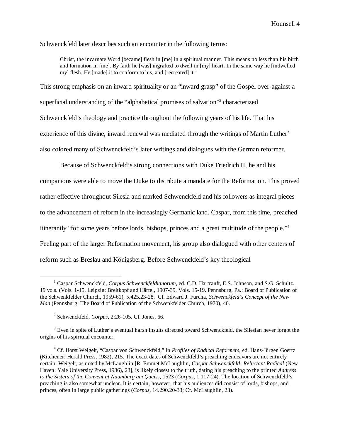Schwenckfeld later describes such an encounter in the following terms:

Christ, the incarnate Word [became] flesh in [me] in a spiritual manner. This means no less than his birth and formation in [me]. By faith he [was] ingrafted to dwell in [my] heart. In the same way he [indwelled my] flesh. He [made] it to conform to his, and [recreated] it.<sup>1</sup>

This strong emphasis on an inward spirituality or an "inward grasp" of the Gospel over-against a superficial understanding of the "alphabetical promises of salvation"<sup>2</sup> characterized Schwenckfeld's theology and practice throughout the following years of his life. That his experience of this divine, inward renewal was mediated through the writings of Martin Luther<sup>3</sup> also colored many of Schwenckfeld's later writings and dialogues with the German reformer.

Because of Schwenckfeld's strong connections with Duke Friedrich II, he and his companions were able to move the Duke to distribute a mandate for the Reformation. This proved rather effective throughout Silesia and marked Schwenckfeld and his followers as integral pieces to the advancement of reform in the increasingly Germanic land. Caspar, from this time, preached itinerantly "for some years before lords, bishops, princes and a great multitude of the people."<sup>4</sup> Feeling part of the larger Reformation movement, his group also dialogued with other centers of reform such as Breslau and Königsberg. Before Schwenckfeld's key theological

 $\overline{a}$ 

<sup>&</sup>lt;sup>1</sup> Caspar Schwenckfeld, *Corpus Schwenckfeldianorum*, ed. C.D. Hartranft, E.S. Johnson, and S.G. Schultz. 19 vols. (Vols. 1-15. Leipzig: Breitkopf and Härtel, 1907-39. Vols. 15-19. Pennsburg, Pa.: Board of Publication of the Schwenkfelder Church, 1959-61), 5.425.23-28. Cf. Edward J. Furcha, *Schwenckfeld's Concept of the New Man* (Pennsburg: The Board of Publication of the Schwenkfelder Church, 1970), 40.

<sup>2</sup> Schwenckfeld, *Corpus*, 2:26-105. Cf. Jones, 66.

 $3$  Even in spite of Luther's eventual harsh insults directed toward Schwenckfeld, the Silesian never forgot the origins of his spiritual encounter.

<sup>4</sup> Cf. Horst Weigelt, "Caspar von Schwenckfeld," in *Profiles of Radical Reformers*, ed. Hans-Jürgen Goertz (Kitchener: Herald Press, 1982), 215. The exact dates of Schwenckfeld's preaching endeavors are not entirely certain. Weigelt, as noted by McLaughlin [R. Emmet McLaughlin, *Caspar Schwenckfeld: Reluctant Radical* (New Haven: Yale University Press, 1986), 23], is likely closest to the truth, dating his preaching to the printed *Address to the Sisters of the Convent at Naumburg am Queiss*, 1523 (*Corpus*, 1.117-24). The location of Schwenckfeld's preaching is also somewhat unclear. It is certain, however, that his audiences did consist of lords, bishops, and princes, often in large public gatherings (*Corpus*, 14.290.20-33; Cf. McLaughlin, 23).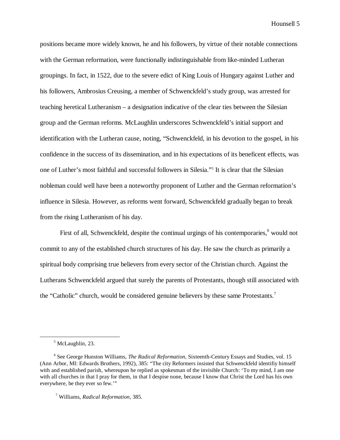Hounsell 5

positions became more widely known, he and his followers, by virtue of their notable connections with the German reformation, were functionally indistinguishable from like-minded Lutheran groupings. In fact, in 1522, due to the severe edict of King Louis of Hungary against Luther and his followers, Ambrosius Creusing, a member of Schwenckfeld's study group, was arrested for teaching heretical Lutheranism – a designation indicative of the clear ties between the Silesian group and the German reforms. McLaughlin underscores Schwenckfeld's initial support and identification with the Lutheran cause, noting, "Schwenckfeld, in his devotion to the gospel, in his confidence in the success of its dissemination, and in his expectations of its beneficent effects, was one of Luther's most faithful and successful followers in Silesia."<sup>5</sup> It is clear that the Silesian nobleman could well have been a noteworthy proponent of Luther and the German reformation's influence in Silesia. However, as reforms went forward, Schwenckfeld gradually began to break from the rising Lutheranism of his day.

First of all, Schwenckfeld, despite the continual urgings of his contemporaries,<sup>6</sup> would not commit to any of the established church structures of his day. He saw the church as primarily a spiritual body comprising true believers from every sector of the Christian church. Against the Lutherans Schwenckfeld argued that surely the parents of Protestants, though still associated with the "Catholic" church, would be considered genuine believers by these same Protestants.<sup>7</sup>

 $\overline{a}$ 

<sup>&</sup>lt;sup>5</sup> McLaughlin, 23.

<sup>6</sup> See George Hunston Williams, *The Radical Reformation*, Sixteenth-Century Essays and Studies, vol. 15 (Ann Arbor, MI: Edwards Brothers, 1992), 385: "The city Reformers insisted that Schwenckfeld identifiy himself with and established parish, whereupon he replied as spokesman of the invisible Church: 'To my mind, I am one with all churches in that I pray for them, in that I despise none, because I know that Christ the Lord has his own everywhere, be they ever so few.'"

<sup>7</sup> Williams, *Radical Reformation*, 385.